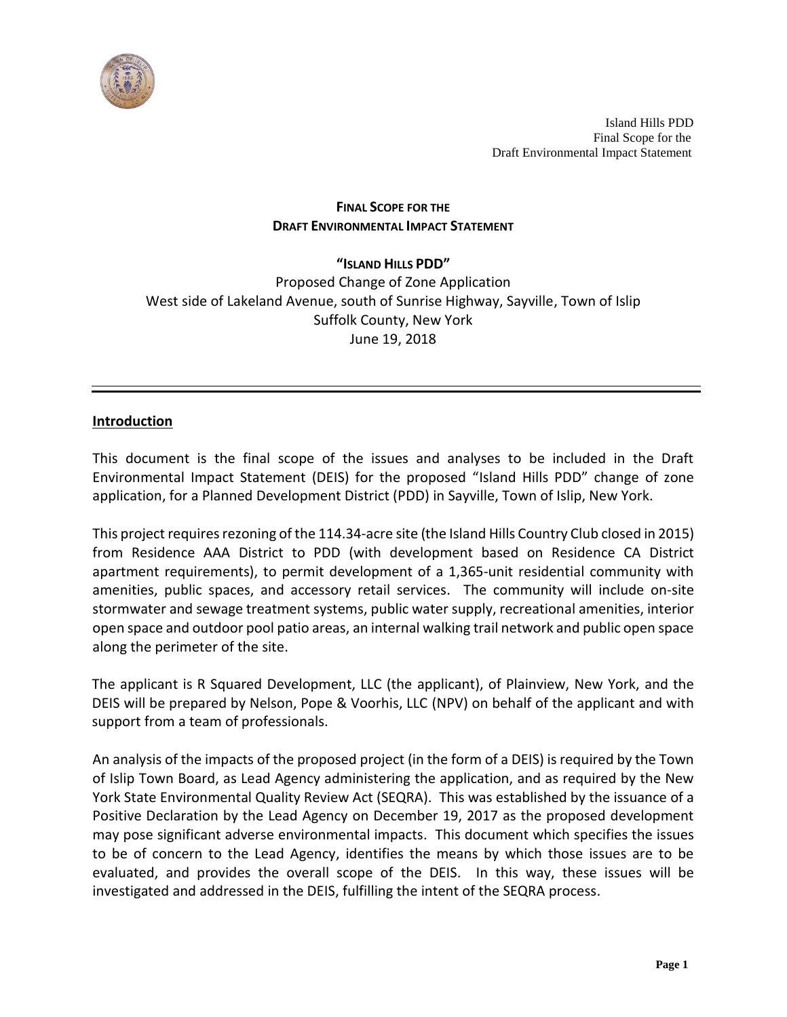

# **FINAL SCOPE FOR THE DRAFT ENVIRONMENTAL IMPACT STATEMENT**

# **"ISLAND HILLS PDD"** Proposed Change of Zone Application West side of Lakeland Avenue, south of Sunrise Highway, Sayville, Town of Islip Suffolk County, New York June 19, 2018

# **Introduction**

This document is the final scope of the issues and analyses to be included in the Draft Environmental Impact Statement (DEIS) for the proposed "Island Hills PDD" change of zone application, for a Planned Development District (PDD) in Sayville, Town of Islip, New York.

This project requires rezoning of the 114.34-acre site (the Island Hills Country Club closed in 2015) from Residence AAA District to PDD (with development based on Residence CA District apartment requirements), to permit development of a 1,365-unit residential community with amenities, public spaces, and accessory retail services. The community will include on-site stormwater and sewage treatment systems, public water supply, recreational amenities, interior open space and outdoor pool patio areas, an internal walking trail network and public open space along the perimeter of the site.

The applicant is R Squared Development, LLC (the applicant), of Plainview, New York, and the DEIS will be prepared by Nelson, Pope & Voorhis, LLC (NPV) on behalf of the applicant and with support from a team of professionals.

An analysis of the impacts of the proposed project (in the form of a DEIS) isrequired by the Town of Islip Town Board, as Lead Agency administering the application, and as required by the New York State Environmental Quality Review Act (SEQRA). This was established by the issuance of a Positive Declaration by the Lead Agency on December 19, 2017 as the proposed development may pose significant adverse environmental impacts. This document which specifies the issues to be of concern to the Lead Agency, identifies the means by which those issues are to be evaluated, and provides the overall scope of the DEIS. In this way, these issues will be investigated and addressed in the DEIS, fulfilling the intent of the SEQRA process.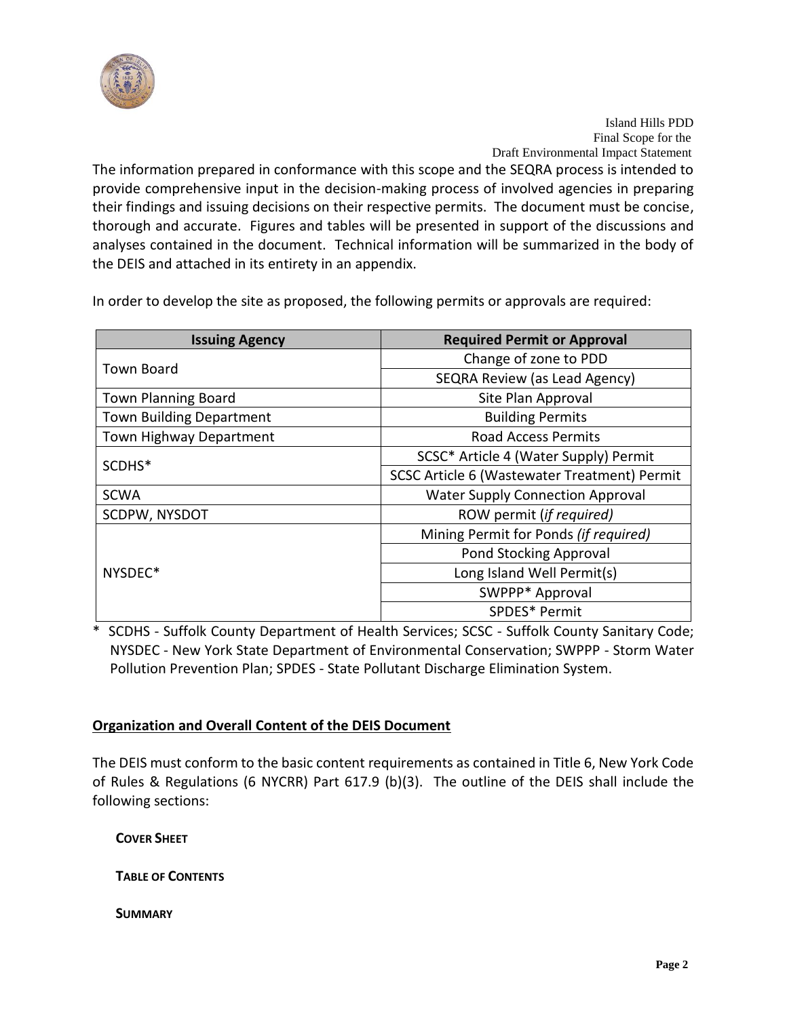

The information prepared in conformance with this scope and the SEQRA process is intended to provide comprehensive input in the decision-making process of involved agencies in preparing their findings and issuing decisions on their respective permits. The document must be concise, thorough and accurate. Figures and tables will be presented in support of the discussions and analyses contained in the document. Technical information will be summarized in the body of the DEIS and attached in its entirety in an appendix.

In order to develop the site as proposed, the following permits or approvals are required:

| <b>Issuing Agency</b>           | <b>Required Permit or Approval</b>           |
|---------------------------------|----------------------------------------------|
| <b>Town Board</b>               | Change of zone to PDD                        |
|                                 | SEQRA Review (as Lead Agency)                |
| <b>Town Planning Board</b>      | Site Plan Approval                           |
| <b>Town Building Department</b> | <b>Building Permits</b>                      |
| Town Highway Department         | <b>Road Access Permits</b>                   |
| SCDHS*                          | SCSC* Article 4 (Water Supply) Permit        |
|                                 | SCSC Article 6 (Wastewater Treatment) Permit |
| <b>SCWA</b>                     | <b>Water Supply Connection Approval</b>      |
| SCDPW, NYSDOT                   | ROW permit (if required)                     |
| NYSDEC*                         | Mining Permit for Ponds (if required)        |
|                                 | <b>Pond Stocking Approval</b>                |
|                                 | Long Island Well Permit(s)                   |
|                                 | SWPPP* Approval                              |
|                                 | SPDES* Permit                                |

\* SCDHS - Suffolk County Department of Health Services; SCSC - Suffolk County Sanitary Code; NYSDEC - New York State Department of Environmental Conservation; SWPPP - Storm Water Pollution Prevention Plan; SPDES - State Pollutant Discharge Elimination System.

# **Organization and Overall Content of the DEIS Document**

The DEIS must conform to the basic content requirements as contained in Title 6, New York Code of Rules & Regulations (6 NYCRR) Part 617.9 (b)(3). The outline of the DEIS shall include the following sections:

**COVER SHEET**

**TABLE OF CONTENTS**

**SUMMARY**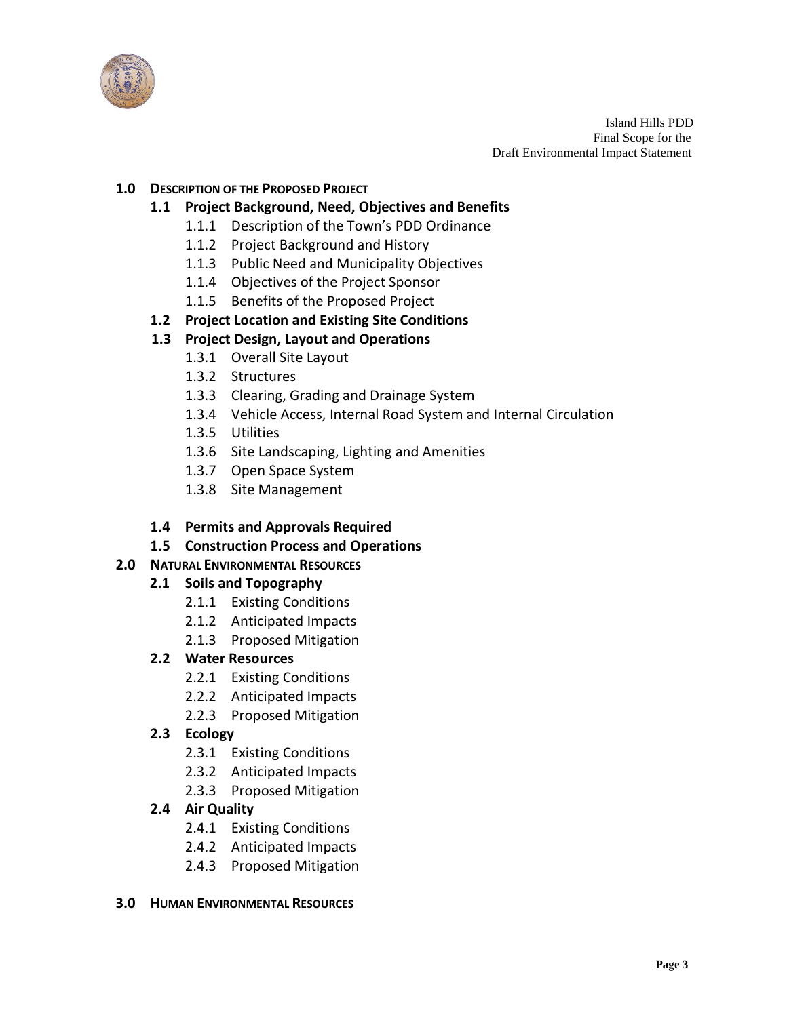

#### **1.0 DESCRIPTION OF THE PROPOSED PROJECT**

#### **1.1 Project Background, Need, Objectives and Benefits**

- 1.1.1 Description of the Town's PDD Ordinance
- 1.1.2 Project Background and History
- 1.1.3 Public Need and Municipality Objectives
- 1.1.4 Objectives of the Project Sponsor
- 1.1.5 Benefits of the Proposed Project

#### **1.2 Project Location and Existing Site Conditions**

#### **1.3 Project Design, Layout and Operations**

- 1.3.1 Overall Site Layout
- 1.3.2 Structures
- 1.3.3 Clearing, Grading and Drainage System
- 1.3.4 Vehicle Access, Internal Road System and Internal Circulation
- 1.3.5 Utilities
- 1.3.6 Site Landscaping, Lighting and Amenities
- 1.3.7 Open Space System
- 1.3.8 Site Management
- **1.4 Permits and Approvals Required**
- **1.5 Construction Process and Operations**

#### **2.0 NATURAL ENVIRONMENTAL RESOURCES**

#### **2.1 Soils and Topography**

- 2.1.1 Existing Conditions
- 2.1.2 Anticipated Impacts
- 2.1.3 Proposed Mitigation

#### **2.2 Water Resources**

- 2.2.1 Existing Conditions
- 2.2.2 Anticipated Impacts
- 2.2.3 Proposed Mitigation
- **2.3 Ecology**
	- 2.3.1 Existing Conditions
	- 2.3.2 Anticipated Impacts
	- 2.3.3 Proposed Mitigation

# **2.4 Air Quality**

- 2.4.1 Existing Conditions
- 2.4.2 Anticipated Impacts
- 2.4.3 Proposed Mitigation

#### **3.0 HUMAN ENVIRONMENTAL RESOURCES**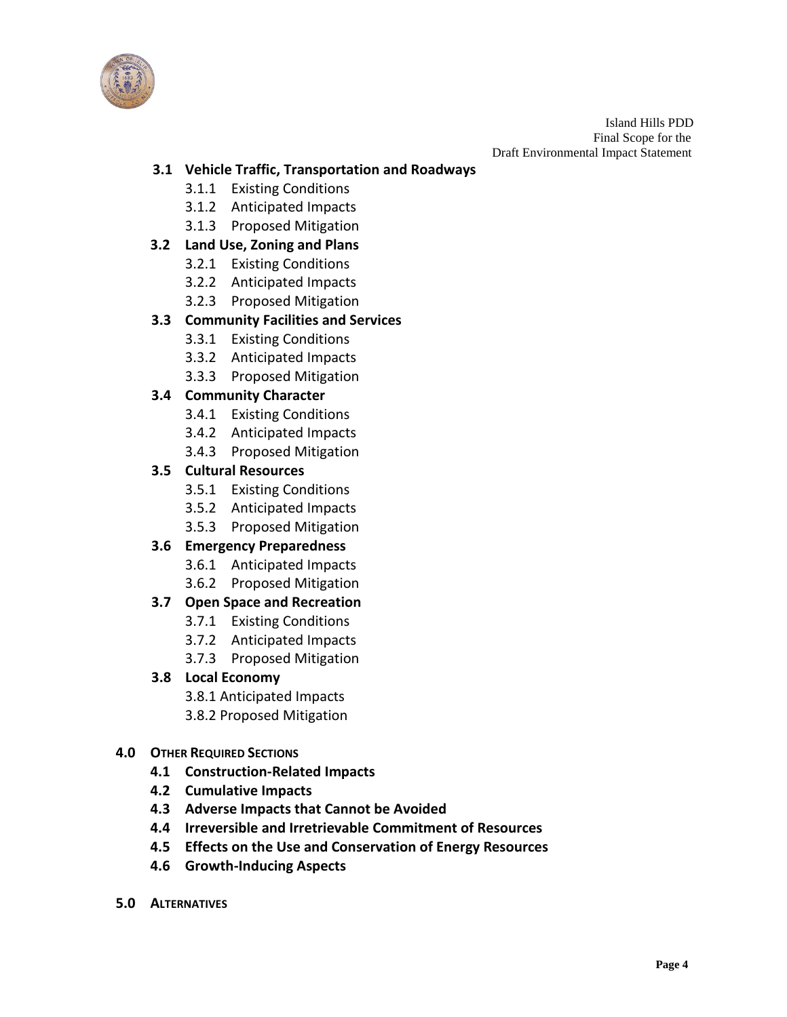

# **3.1 Vehicle Traffic, Transportation and Roadways**

- 3.1.1 Existing Conditions
- 3.1.2 Anticipated Impacts
- 3.1.3 Proposed Mitigation

# **3.2 Land Use, Zoning and Plans**

- 3.2.1 Existing Conditions
- 3.2.2 Anticipated Impacts
- 3.2.3 Proposed Mitigation

# **3.3 Community Facilities and Services**

- 3.3.1 Existing Conditions
- 3.3.2 Anticipated Impacts
- 3.3.3 Proposed Mitigation

# **3.4 Community Character**

- 3.4.1 Existing Conditions
- 3.4.2 Anticipated Impacts
- 3.4.3 Proposed Mitigation

# **3.5 Cultural Resources**

- 3.5.1 Existing Conditions
- 3.5.2 Anticipated Impacts
- 3.5.3 Proposed Mitigation

# **3.6 Emergency Preparedness**

- 3.6.1 Anticipated Impacts
- 3.6.2 Proposed Mitigation

# **3.7 Open Space and Recreation**

- 3.7.1 Existing Conditions
- 3.7.2 Anticipated Impacts
- 3.7.3 Proposed Mitigation
- **3.8 Local Economy**
	- 3.8.1 Anticipated Impacts
	- 3.8.2 Proposed Mitigation
- **4.0 OTHER REQUIRED SECTIONS**
	- **4.1 Construction-Related Impacts**
	- **4.2 Cumulative Impacts**
	- **4.3 Adverse Impacts that Cannot be Avoided**
	- **4.4 Irreversible and Irretrievable Commitment of Resources**
	- **4.5 Effects on the Use and Conservation of Energy Resources**
	- **4.6 Growth-Inducing Aspects**
- **5.0 ALTERNATIVES**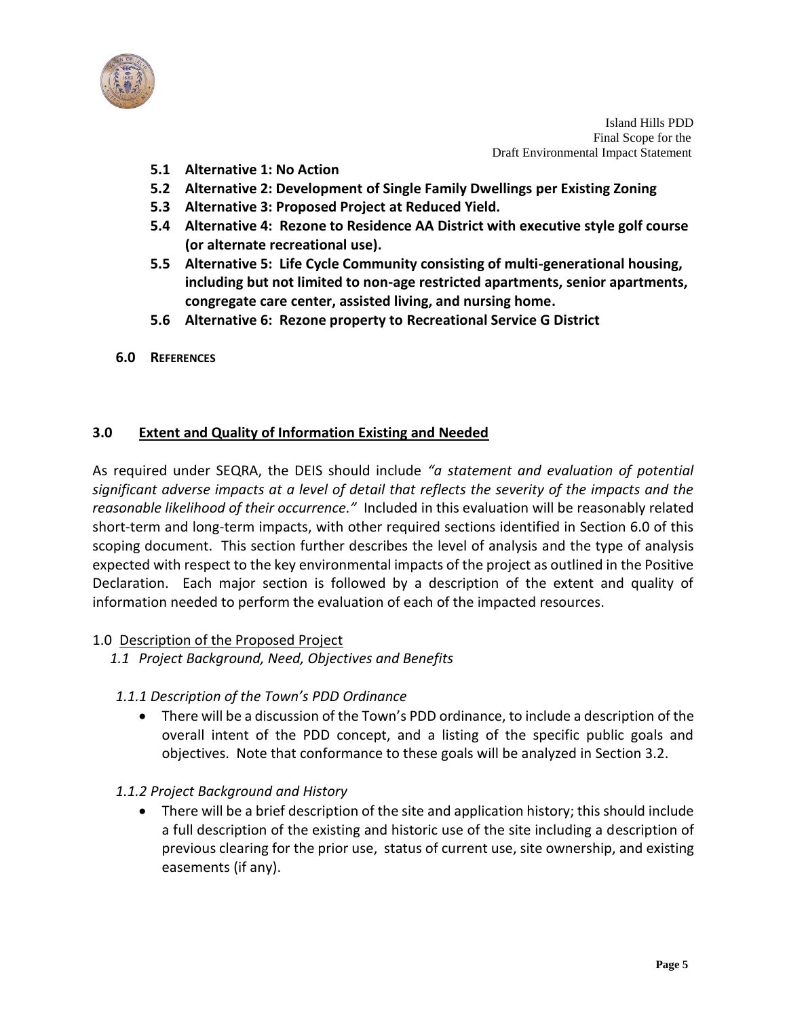

- **5.1 Alternative 1: No Action**
- **5.2 Alternative 2: Development of Single Family Dwellings per Existing Zoning**
- **5.3 Alternative 3: Proposed Project at Reduced Yield.**
- **5.4 Alternative 4: Rezone to Residence AA District with executive style golf course (or alternate recreational use).**
- **5.5 Alternative 5: Life Cycle Community consisting of multi-generational housing, including but not limited to non-age restricted apartments, senior apartments, congregate care center, assisted living, and nursing home.**
- **5.6 Alternative 6: Rezone property to Recreational Service G District**
- **6.0 REFERENCES**

#### **3.0 Extent and Quality of Information Existing and Needed**

As required under SEQRA, the DEIS should include *"a statement and evaluation of potential significant adverse impacts at a level of detail that reflects the severity of the impacts and the reasonable likelihood of their occurrence."* Included in this evaluation will be reasonably related short-term and long-term impacts, with other required sections identified in Section 6.0 of this scoping document. This section further describes the level of analysis and the type of analysis expected with respect to the key environmental impacts of the project as outlined in the Positive Declaration. Each major section is followed by a description of the extent and quality of information needed to perform the evaluation of each of the impacted resources.

#### 1.0 Description of the Proposed Project

- *1.1 Project Background, Need, Objectives and Benefits*
- *1.1.1 Description of the Town's PDD Ordinance*
	- There will be a discussion of the Town's PDD ordinance, to include a description of the overall intent of the PDD concept, and a listing of the specific public goals and objectives. Note that conformance to these goals will be analyzed in Section 3.2.
- *1.1.2 Project Background and History*
	- There will be a brief description of the site and application history; this should include a full description of the existing and historic use of the site including a description of previous clearing for the prior use, status of current use, site ownership, and existing easements (if any).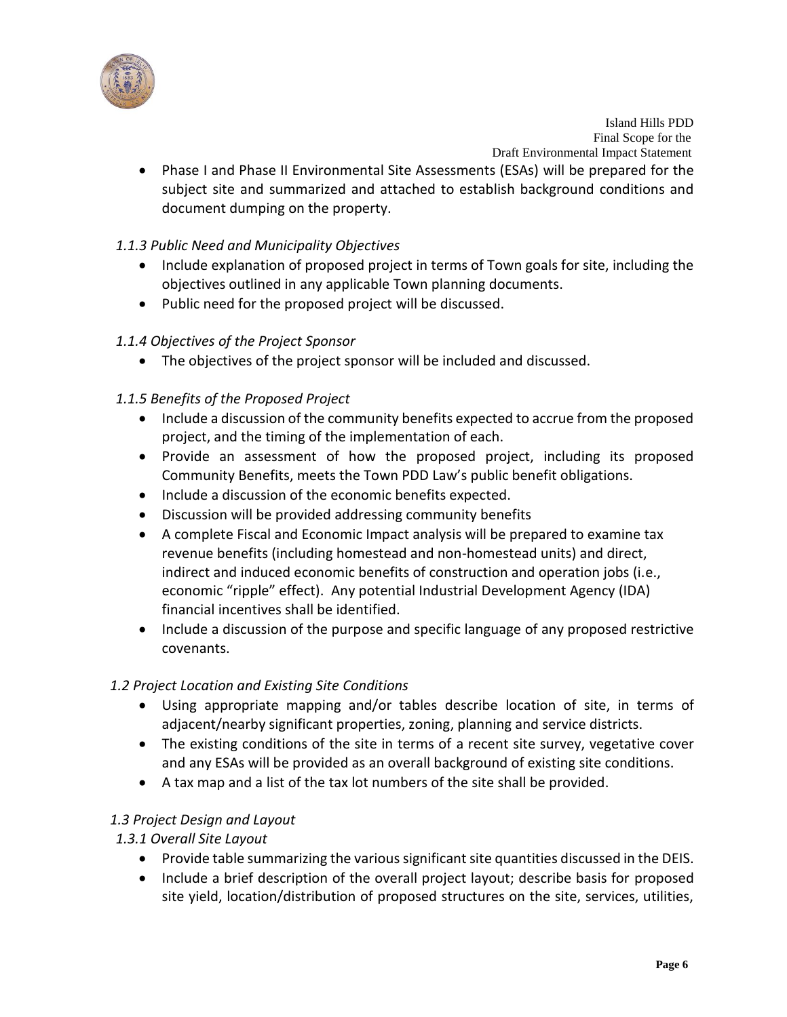

 Phase I and Phase II Environmental Site Assessments (ESAs) will be prepared for the subject site and summarized and attached to establish background conditions and document dumping on the property.

# *1.1.3 Public Need and Municipality Objectives*

- Include explanation of proposed project in terms of Town goals for site, including the objectives outlined in any applicable Town planning documents.
- Public need for the proposed project will be discussed.

# *1.1.4 Objectives of the Project Sponsor*

The objectives of the project sponsor will be included and discussed.

# *1.1.5 Benefits of the Proposed Project*

- Include a discussion of the community benefits expected to accrue from the proposed project, and the timing of the implementation of each.
- Provide an assessment of how the proposed project, including its proposed Community Benefits, meets the Town PDD Law's public benefit obligations.
- Include a discussion of the economic benefits expected.
- Discussion will be provided addressing community benefits
- A complete Fiscal and Economic Impact analysis will be prepared to examine tax revenue benefits (including homestead and non-homestead units) and direct, indirect and induced economic benefits of construction and operation jobs (i.e., economic "ripple" effect). Any potential Industrial Development Agency (IDA) financial incentives shall be identified.
- Include a discussion of the purpose and specific language of any proposed restrictive covenants.

# *1.2 Project Location and Existing Site Conditions*

- Using appropriate mapping and/or tables describe location of site, in terms of adjacent/nearby significant properties, zoning, planning and service districts.
- The existing conditions of the site in terms of a recent site survey, vegetative cover and any ESAs will be provided as an overall background of existing site conditions.
- A tax map and a list of the tax lot numbers of the site shall be provided.

# *1.3 Project Design and Layout*

# *1.3.1 Overall Site Layout*

- Provide table summarizing the various significant site quantities discussed in the DEIS.
- Include a brief description of the overall project layout; describe basis for proposed site yield, location/distribution of proposed structures on the site, services, utilities,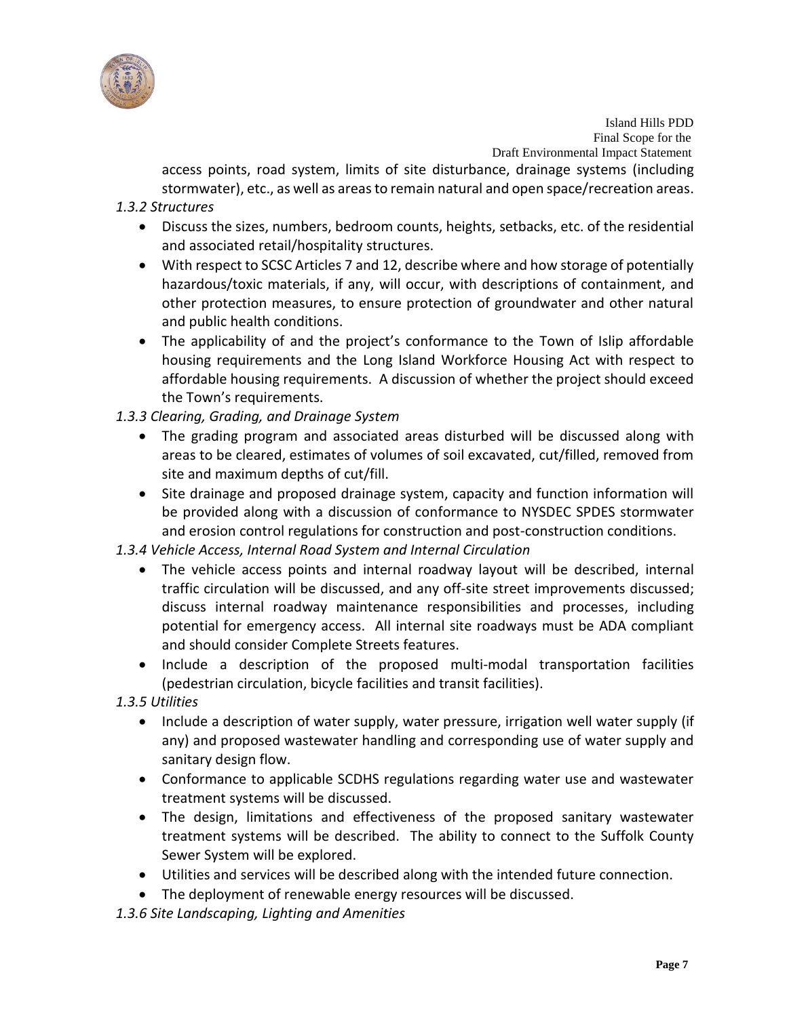

access points, road system, limits of site disturbance, drainage systems (including stormwater), etc., as well as areas to remain natural and open space/recreation areas.

#### *1.3.2 Structures*

- Discuss the sizes, numbers, bedroom counts, heights, setbacks, etc. of the residential and associated retail/hospitality structures.
- With respect to SCSC Articles 7 and 12, describe where and how storage of potentially hazardous/toxic materials, if any, will occur, with descriptions of containment, and other protection measures, to ensure protection of groundwater and other natural and public health conditions.
- The applicability of and the project's conformance to the Town of Islip affordable housing requirements and the Long Island Workforce Housing Act with respect to affordable housing requirements. A discussion of whether the project should exceed the Town's requirements.

# *1.3.3 Clearing, Grading, and Drainage System*

- The grading program and associated areas disturbed will be discussed along with areas to be cleared, estimates of volumes of soil excavated, cut/filled, removed from site and maximum depths of cut/fill.
- Site drainage and proposed drainage system, capacity and function information will be provided along with a discussion of conformance to NYSDEC SPDES stormwater and erosion control regulations for construction and post-construction conditions.

# *1.3.4 Vehicle Access, Internal Road System and Internal Circulation*

- The vehicle access points and internal roadway layout will be described, internal traffic circulation will be discussed, and any off-site street improvements discussed; discuss internal roadway maintenance responsibilities and processes, including potential for emergency access. All internal site roadways must be ADA compliant and should consider Complete Streets features.
- Include a description of the proposed multi-modal transportation facilities (pedestrian circulation, bicycle facilities and transit facilities).

# *1.3.5 Utilities*

- Include a description of water supply, water pressure, irrigation well water supply (if any) and proposed wastewater handling and corresponding use of water supply and sanitary design flow.
- Conformance to applicable SCDHS regulations regarding water use and wastewater treatment systems will be discussed.
- The design, limitations and effectiveness of the proposed sanitary wastewater treatment systems will be described. The ability to connect to the Suffolk County Sewer System will be explored.
- Utilities and services will be described along with the intended future connection.
- The deployment of renewable energy resources will be discussed.

*1.3.6 Site Landscaping, Lighting and Amenities*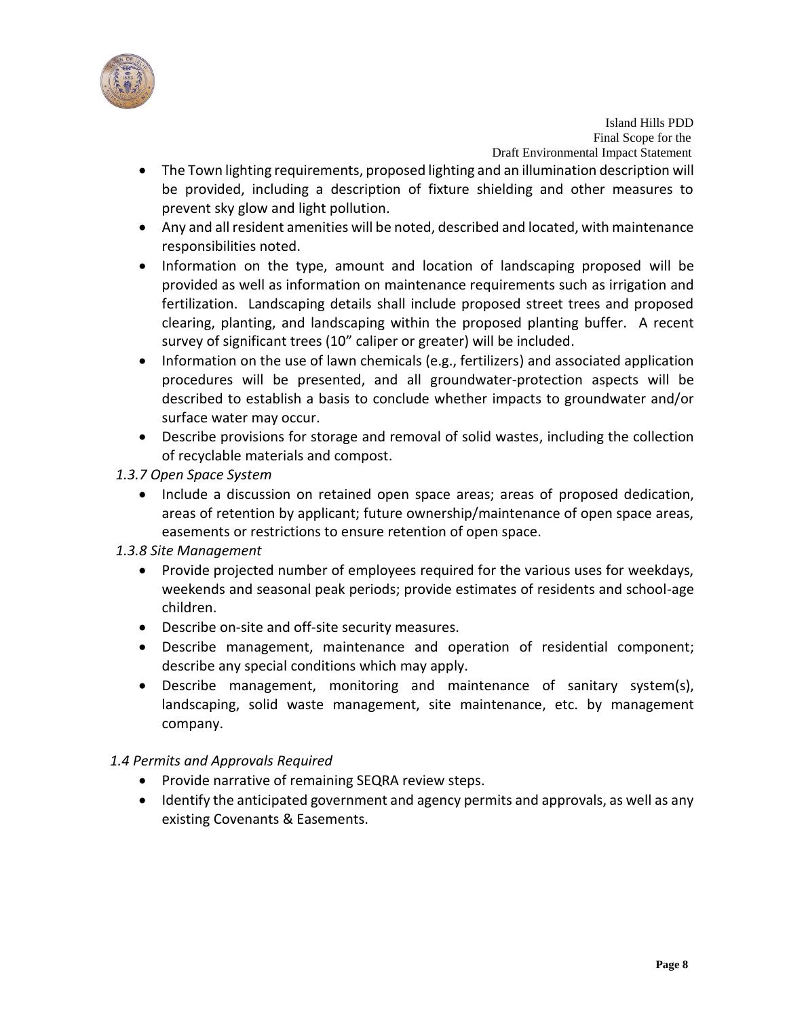

- The Town lighting requirements, proposed lighting and an illumination description will be provided, including a description of fixture shielding and other measures to prevent sky glow and light pollution.
- Any and all resident amenities will be noted, described and located, with maintenance responsibilities noted.
- Information on the type, amount and location of landscaping proposed will be provided as well as information on maintenance requirements such as irrigation and fertilization. Landscaping details shall include proposed street trees and proposed clearing, planting, and landscaping within the proposed planting buffer. A recent survey of significant trees (10" caliper or greater) will be included.
- Information on the use of lawn chemicals (e.g., fertilizers) and associated application procedures will be presented, and all groundwater-protection aspects will be described to establish a basis to conclude whether impacts to groundwater and/or surface water may occur.
- Describe provisions for storage and removal of solid wastes, including the collection of recyclable materials and compost.
- *1.3.7 Open Space System*
	- Include a discussion on retained open space areas; areas of proposed dedication, areas of retention by applicant; future ownership/maintenance of open space areas, easements or restrictions to ensure retention of open space.

# *1.3.8 Site Management*

- Provide projected number of employees required for the various uses for weekdays, weekends and seasonal peak periods; provide estimates of residents and school-age children.
- Describe on-site and off-site security measures.
- Describe management, maintenance and operation of residential component; describe any special conditions which may apply.
- Describe management, monitoring and maintenance of sanitary system(s), landscaping, solid waste management, site maintenance, etc. by management company.

# *1.4 Permits and Approvals Required*

- Provide narrative of remaining SEQRA review steps.
- Identify the anticipated government and agency permits and approvals, as well as any existing Covenants & Easements.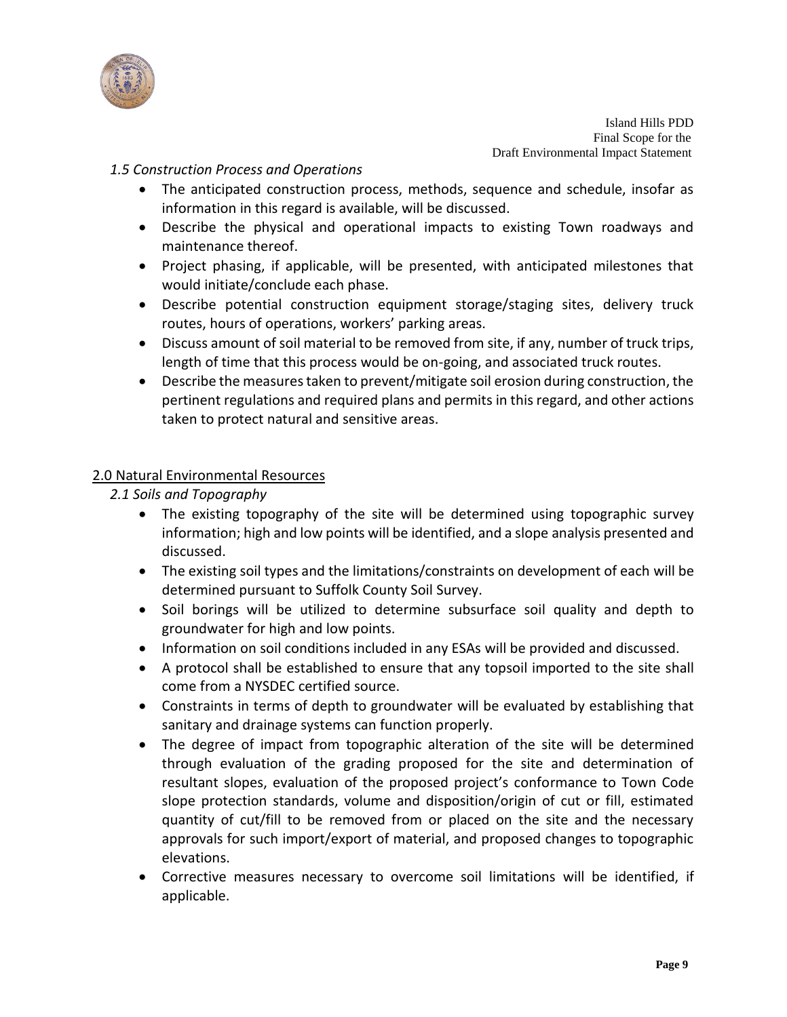

#### *1.5 Construction Process and Operations*

- The anticipated construction process, methods, sequence and schedule, insofar as information in this regard is available, will be discussed.
- Describe the physical and operational impacts to existing Town roadways and maintenance thereof.
- Project phasing, if applicable, will be presented, with anticipated milestones that would initiate/conclude each phase.
- Describe potential construction equipment storage/staging sites, delivery truck routes, hours of operations, workers' parking areas.
- Discuss amount of soil material to be removed from site, if any, number of truck trips, length of time that this process would be on-going, and associated truck routes.
- Describe the measures taken to prevent/mitigate soil erosion during construction, the pertinent regulations and required plans and permits in this regard, and other actions taken to protect natural and sensitive areas.

#### 2.0 Natural Environmental Resources

*2.1 Soils and Topography*

- The existing topography of the site will be determined using topographic survey information; high and low points will be identified, and a slope analysis presented and discussed.
- The existing soil types and the limitations/constraints on development of each will be determined pursuant to Suffolk County Soil Survey.
- Soil borings will be utilized to determine subsurface soil quality and depth to groundwater for high and low points.
- Information on soil conditions included in any ESAs will be provided and discussed.
- A protocol shall be established to ensure that any topsoil imported to the site shall come from a NYSDEC certified source.
- Constraints in terms of depth to groundwater will be evaluated by establishing that sanitary and drainage systems can function properly.
- The degree of impact from topographic alteration of the site will be determined through evaluation of the grading proposed for the site and determination of resultant slopes, evaluation of the proposed project's conformance to Town Code slope protection standards, volume and disposition/origin of cut or fill, estimated quantity of cut/fill to be removed from or placed on the site and the necessary approvals for such import/export of material, and proposed changes to topographic elevations.
- Corrective measures necessary to overcome soil limitations will be identified, if applicable.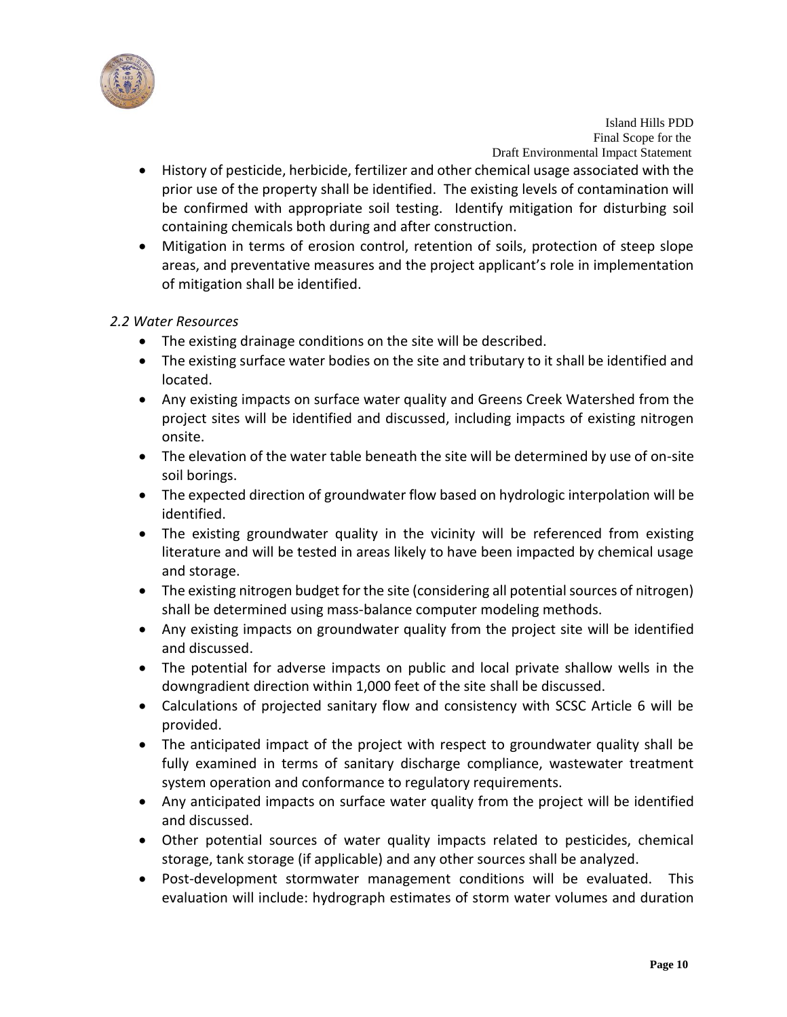

- History of pesticide, herbicide, fertilizer and other chemical usage associated with the prior use of the property shall be identified. The existing levels of contamination will be confirmed with appropriate soil testing. Identify mitigation for disturbing soil containing chemicals both during and after construction.
- Mitigation in terms of erosion control, retention of soils, protection of steep slope areas, and preventative measures and the project applicant's role in implementation of mitigation shall be identified.

#### *2.2 Water Resources*

- The existing drainage conditions on the site will be described.
- The existing surface water bodies on the site and tributary to it shall be identified and located.
- Any existing impacts on surface water quality and Greens Creek Watershed from the project sites will be identified and discussed, including impacts of existing nitrogen onsite.
- The elevation of the water table beneath the site will be determined by use of on-site soil borings.
- The expected direction of groundwater flow based on hydrologic interpolation will be identified.
- The existing groundwater quality in the vicinity will be referenced from existing literature and will be tested in areas likely to have been impacted by chemical usage and storage.
- The existing nitrogen budget for the site (considering all potential sources of nitrogen) shall be determined using mass-balance computer modeling methods.
- Any existing impacts on groundwater quality from the project site will be identified and discussed.
- The potential for adverse impacts on public and local private shallow wells in the downgradient direction within 1,000 feet of the site shall be discussed.
- Calculations of projected sanitary flow and consistency with SCSC Article 6 will be provided.
- The anticipated impact of the project with respect to groundwater quality shall be fully examined in terms of sanitary discharge compliance, wastewater treatment system operation and conformance to regulatory requirements.
- Any anticipated impacts on surface water quality from the project will be identified and discussed.
- Other potential sources of water quality impacts related to pesticides, chemical storage, tank storage (if applicable) and any other sources shall be analyzed.
- Post-development stormwater management conditions will be evaluated. This evaluation will include: hydrograph estimates of storm water volumes and duration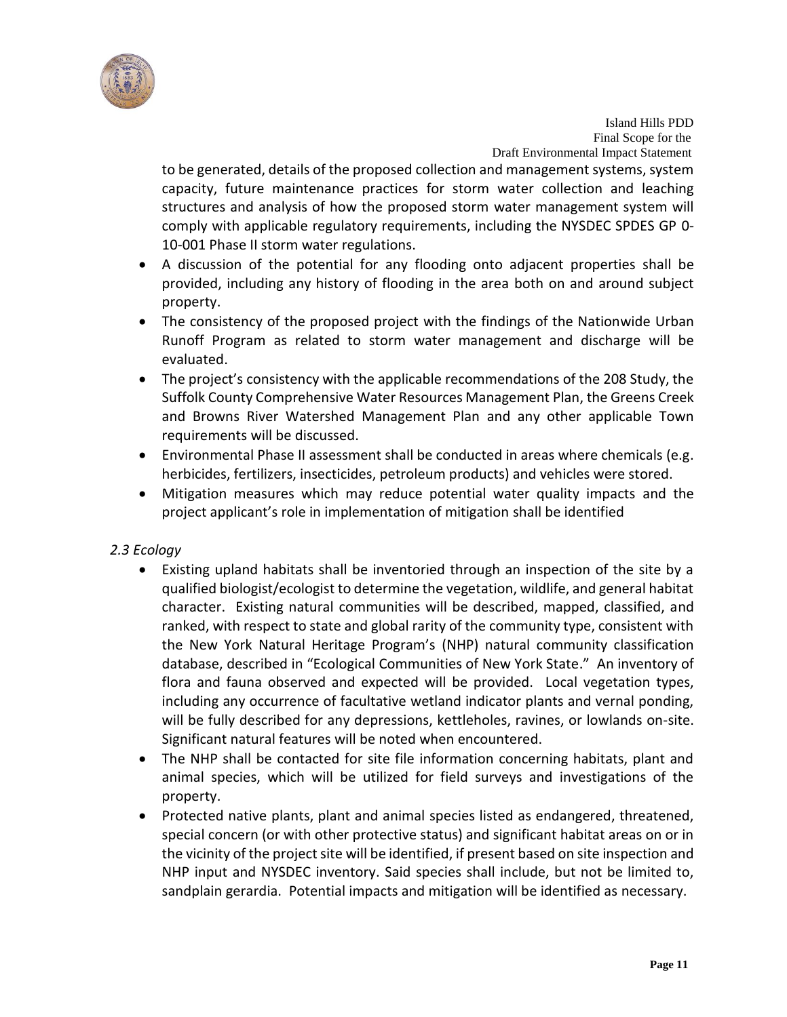

to be generated, details of the proposed collection and management systems, system capacity, future maintenance practices for storm water collection and leaching structures and analysis of how the proposed storm water management system will comply with applicable regulatory requirements, including the NYSDEC SPDES GP 0- 10-001 Phase II storm water regulations.

- A discussion of the potential for any flooding onto adjacent properties shall be provided, including any history of flooding in the area both on and around subject property.
- The consistency of the proposed project with the findings of the Nationwide Urban Runoff Program as related to storm water management and discharge will be evaluated.
- The project's consistency with the applicable recommendations of the 208 Study, the Suffolk County Comprehensive Water Resources Management Plan, the Greens Creek and Browns River Watershed Management Plan and any other applicable Town requirements will be discussed.
- Environmental Phase II assessment shall be conducted in areas where chemicals (e.g. herbicides, fertilizers, insecticides, petroleum products) and vehicles were stored.
- Mitigation measures which may reduce potential water quality impacts and the project applicant's role in implementation of mitigation shall be identified

# *2.3 Ecology*

- Existing upland habitats shall be inventoried through an inspection of the site by a qualified biologist/ecologist to determine the vegetation, wildlife, and general habitat character. Existing natural communities will be described, mapped, classified, and ranked, with respect to state and global rarity of the community type, consistent with the New York Natural Heritage Program's (NHP) natural community classification database, described in "Ecological Communities of New York State." An inventory of flora and fauna observed and expected will be provided. Local vegetation types, including any occurrence of facultative wetland indicator plants and vernal ponding, will be fully described for any depressions, kettleholes, ravines, or lowlands on-site. Significant natural features will be noted when encountered.
- The NHP shall be contacted for site file information concerning habitats, plant and animal species, which will be utilized for field surveys and investigations of the property.
- Protected native plants, plant and animal species listed as endangered, threatened, special concern (or with other protective status) and significant habitat areas on or in the vicinity of the project site will be identified, if present based on site inspection and NHP input and NYSDEC inventory. Said species shall include, but not be limited to, sandplain gerardia. Potential impacts and mitigation will be identified as necessary.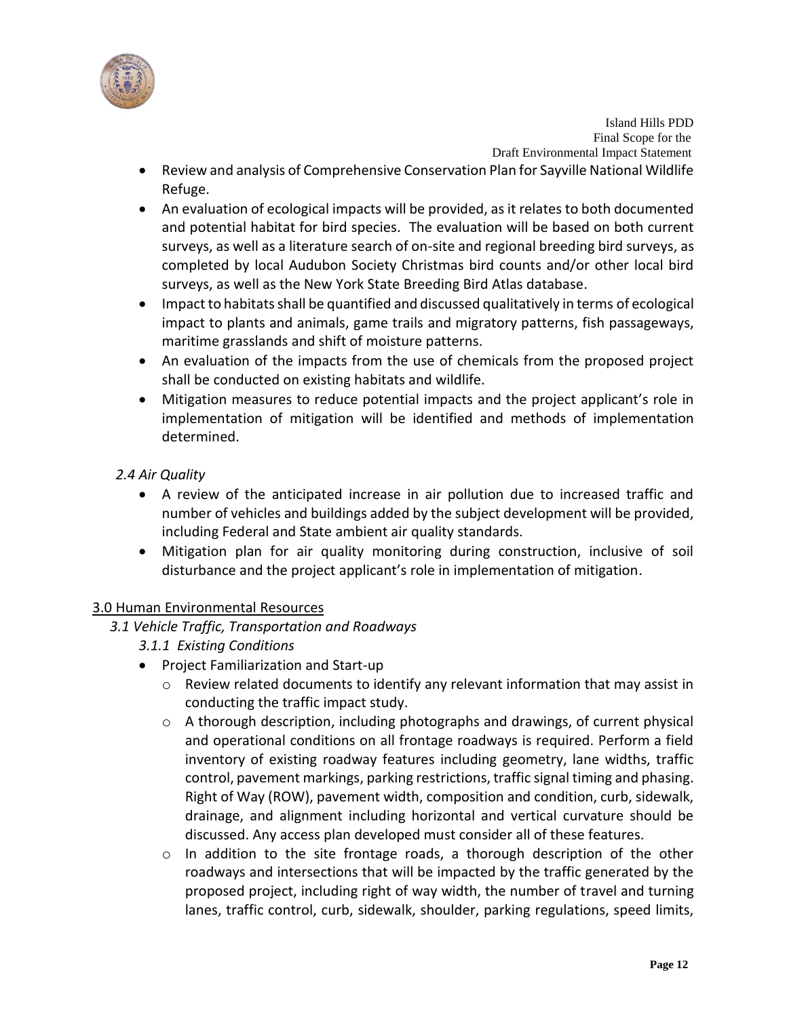

- Review and analysis of Comprehensive Conservation Plan for Sayville National Wildlife Refuge.
- An evaluation of ecological impacts will be provided, as it relates to both documented and potential habitat for bird species. The evaluation will be based on both current surveys, as well as a literature search of on-site and regional breeding bird surveys, as completed by local Audubon Society Christmas bird counts and/or other local bird surveys, as well as the New York State Breeding Bird Atlas database.
- Impact to habitats shall be quantified and discussed qualitatively in terms of ecological impact to plants and animals, game trails and migratory patterns, fish passageways, maritime grasslands and shift of moisture patterns.
- An evaluation of the impacts from the use of chemicals from the proposed project shall be conducted on existing habitats and wildlife.
- Mitigation measures to reduce potential impacts and the project applicant's role in implementation of mitigation will be identified and methods of implementation determined.

# *2.4 Air Quality*

- A review of the anticipated increase in air pollution due to increased traffic and number of vehicles and buildings added by the subject development will be provided, including Federal and State ambient air quality standards.
- Mitigation plan for air quality monitoring during construction, inclusive of soil disturbance and the project applicant's role in implementation of mitigation.

# 3.0 Human Environmental Resources

- *3.1 Vehicle Traffic, Transportation and Roadways*
	- *3.1.1 Existing Conditions*
	- Project Familiarization and Start-up
		- $\circ$  Review related documents to identify any relevant information that may assist in conducting the traffic impact study.
		- $\circ$  A thorough description, including photographs and drawings, of current physical and operational conditions on all frontage roadways is required. Perform a field inventory of existing roadway features including geometry, lane widths, traffic control, pavement markings, parking restrictions, traffic signal timing and phasing. Right of Way (ROW), pavement width, composition and condition, curb, sidewalk, drainage, and alignment including horizontal and vertical curvature should be discussed. Any access plan developed must consider all of these features.
		- $\circ$  In addition to the site frontage roads, a thorough description of the other roadways and intersections that will be impacted by the traffic generated by the proposed project, including right of way width, the number of travel and turning lanes, traffic control, curb, sidewalk, shoulder, parking regulations, speed limits,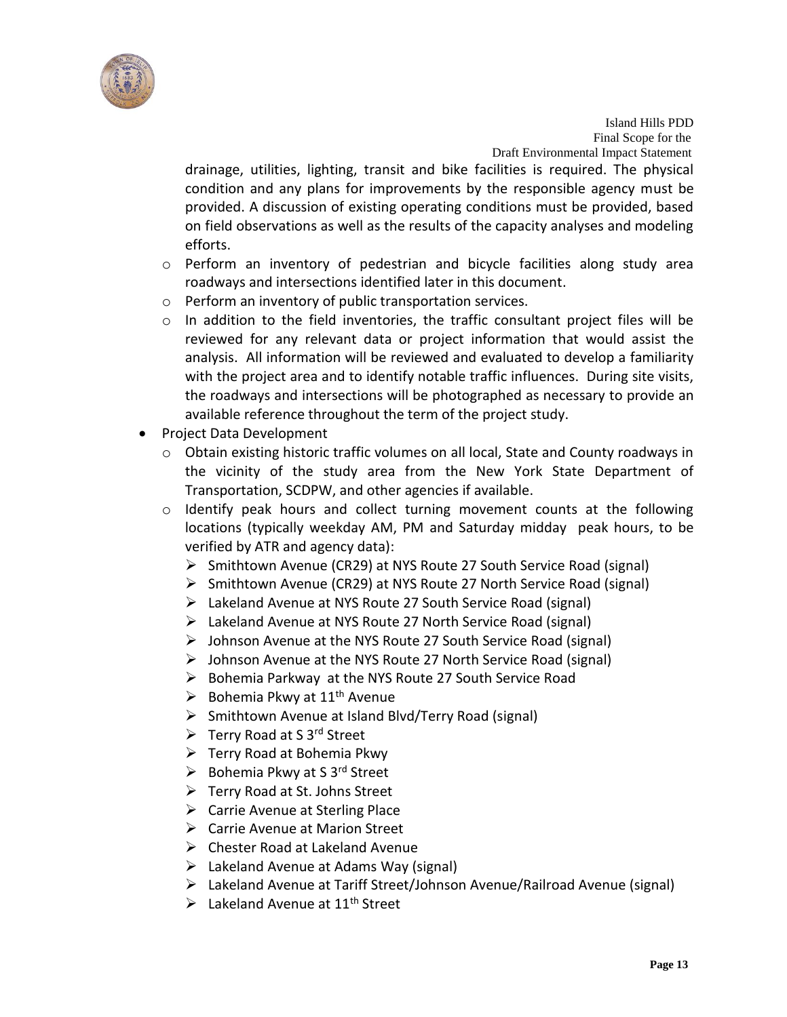

drainage, utilities, lighting, transit and bike facilities is required. The physical condition and any plans for improvements by the responsible agency must be provided. A discussion of existing operating conditions must be provided, based on field observations as well as the results of the capacity analyses and modeling efforts.

- $\circ$  Perform an inventory of pedestrian and bicycle facilities along study area roadways and intersections identified later in this document.
- o Perform an inventory of public transportation services.
- $\circ$  In addition to the field inventories, the traffic consultant project files will be reviewed for any relevant data or project information that would assist the analysis. All information will be reviewed and evaluated to develop a familiarity with the project area and to identify notable traffic influences. During site visits, the roadways and intersections will be photographed as necessary to provide an available reference throughout the term of the project study.
- Project Data Development
	- $\circ$  Obtain existing historic traffic volumes on all local, State and County roadways in the vicinity of the study area from the New York State Department of Transportation, SCDPW, and other agencies if available.
	- $\circ$  Identify peak hours and collect turning movement counts at the following locations (typically weekday AM, PM and Saturday midday peak hours, to be verified by ATR and agency data):
		- Smithtown Avenue (CR29) at NYS Route 27 South Service Road (signal)
		- Smithtown Avenue (CR29) at NYS Route 27 North Service Road (signal)
		- Lakeland Avenue at NYS Route 27 South Service Road (signal)
		- Lakeland Avenue at NYS Route 27 North Service Road (signal)
		- $\triangleright$  Johnson Avenue at the NYS Route 27 South Service Road (signal)
		- $\triangleright$  Johnson Avenue at the NYS Route 27 North Service Road (signal)
		- ▶ Bohemia Parkway at the NYS Route 27 South Service Road
		- $\triangleright$  Bohemia Pkwy at 11<sup>th</sup> Avenue
		- $\triangleright$  Smithtown Avenue at Island Blvd/Terry Road (signal)
		- $\triangleright$  Terry Road at S 3<sup>rd</sup> Street
		- $\triangleright$  Terry Road at Bohemia Pkwy
		- $\triangleright$  Bohemia Pkwy at S 3<sup>rd</sup> Street
		- Terry Road at St. Johns Street
		- $\triangleright$  Carrie Avenue at Sterling Place
		- Carrie Avenue at Marion Street
		- $\triangleright$  Chester Road at Lakeland Avenue
		- $\triangleright$  Lakeland Avenue at Adams Way (signal)
		- $\triangleright$  Lakeland Avenue at Tariff Street/Johnson Avenue/Railroad Avenue (signal)
		- $\triangleright$  Lakeland Avenue at 11<sup>th</sup> Street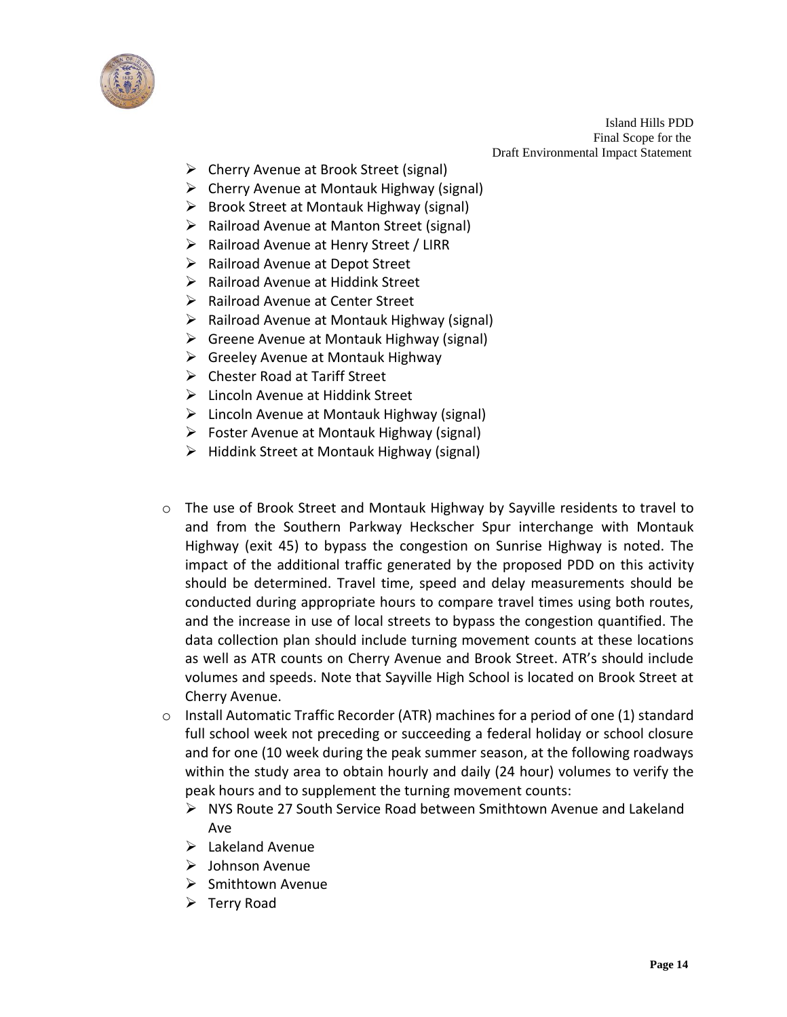

- Cherry Avenue at Brook Street (signal)
- $\triangleright$  Cherry Avenue at Montauk Highway (signal)
- $\triangleright$  Brook Street at Montauk Highway (signal)
- $\triangleright$  Railroad Avenue at Manton Street (signal)
- $\triangleright$  Railroad Avenue at Henry Street / LIRR
- $\triangleright$  Railroad Avenue at Depot Street
- $\triangleright$  Railroad Avenue at Hiddink Street
- $\triangleright$  Railroad Avenue at Center Street
- $\triangleright$  Railroad Avenue at Montauk Highway (signal)
- Greene Avenue at Montauk Highway (signal)
- $\triangleright$  Greeley Avenue at Montauk Highway
- Chester Road at Tariff Street
- Lincoln Avenue at Hiddink Street
- $\triangleright$  Lincoln Avenue at Montauk Highway (signal)
- $\triangleright$  Foster Avenue at Montauk Highway (signal)
- $\triangleright$  Hiddink Street at Montauk Highway (signal)
- o The use of Brook Street and Montauk Highway by Sayville residents to travel to and from the Southern Parkway Heckscher Spur interchange with Montauk Highway (exit 45) to bypass the congestion on Sunrise Highway is noted. The impact of the additional traffic generated by the proposed PDD on this activity should be determined. Travel time, speed and delay measurements should be conducted during appropriate hours to compare travel times using both routes, and the increase in use of local streets to bypass the congestion quantified. The data collection plan should include turning movement counts at these locations as well as ATR counts on Cherry Avenue and Brook Street. ATR's should include volumes and speeds. Note that Sayville High School is located on Brook Street at Cherry Avenue.
- $\circ$  Install Automatic Traffic Recorder (ATR) machines for a period of one (1) standard full school week not preceding or succeeding a federal holiday or school closure and for one (10 week during the peak summer season, at the following roadways within the study area to obtain hourly and daily (24 hour) volumes to verify the peak hours and to supplement the turning movement counts:
	- NYS Route 27 South Service Road between Smithtown Avenue and Lakeland Ave
	- $\blacktriangleright$  Lakeland Avenue
	- $\triangleright$  Johnson Avenue
	- $\triangleright$  Smithtown Avenue
	- $\triangleright$  Terry Road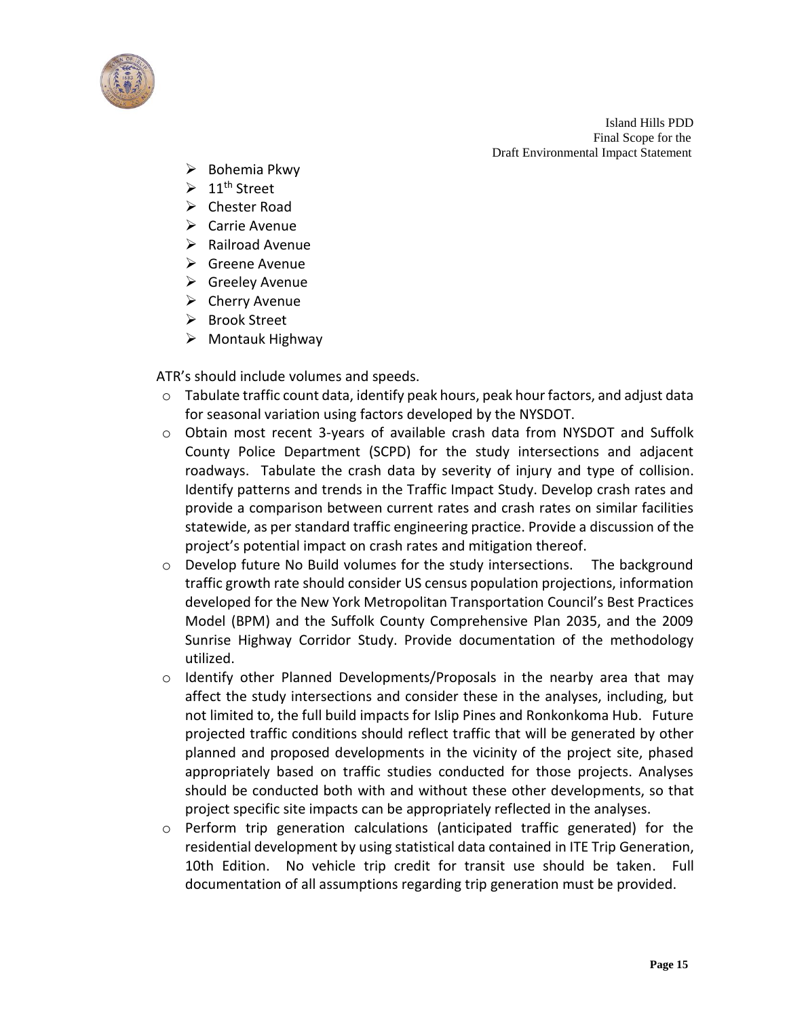

- $\triangleright$  Bohemia Pkwy
- $\geq 11^{\text{th}}$  Street
- $\triangleright$  Chester Road
- $\triangleright$  Carrie Avenue
- $\triangleright$  Railroad Avenue
- $\triangleright$  Greene Avenue
- $\triangleright$  Greeley Avenue
- $\triangleright$  Cherry Avenue
- **▶** Brook Street
- $\triangleright$  Montauk Highway

ATR's should include volumes and speeds.

- o Tabulate traffic count data, identify peak hours, peak hour factors, and adjust data for seasonal variation using factors developed by the NYSDOT.
- o Obtain most recent 3-years of available crash data from NYSDOT and Suffolk County Police Department (SCPD) for the study intersections and adjacent roadways. Tabulate the crash data by severity of injury and type of collision. Identify patterns and trends in the Traffic Impact Study. Develop crash rates and provide a comparison between current rates and crash rates on similar facilities statewide, as per standard traffic engineering practice. Provide a discussion of the project's potential impact on crash rates and mitigation thereof.
- o Develop future No Build volumes for the study intersections. The background traffic growth rate should consider US census population projections, information developed for the New York Metropolitan Transportation Council's Best Practices Model (BPM) and the Suffolk County Comprehensive Plan 2035, and the 2009 Sunrise Highway Corridor Study. Provide documentation of the methodology utilized.
- o Identify other Planned Developments/Proposals in the nearby area that may affect the study intersections and consider these in the analyses, including, but not limited to, the full build impacts for Islip Pines and Ronkonkoma Hub. Future projected traffic conditions should reflect traffic that will be generated by other planned and proposed developments in the vicinity of the project site, phased appropriately based on traffic studies conducted for those projects. Analyses should be conducted both with and without these other developments, so that project specific site impacts can be appropriately reflected in the analyses.
- $\circ$  Perform trip generation calculations (anticipated traffic generated) for the residential development by using statistical data contained in ITE Trip Generation, 10th Edition. No vehicle trip credit for transit use should be taken. Full documentation of all assumptions regarding trip generation must be provided.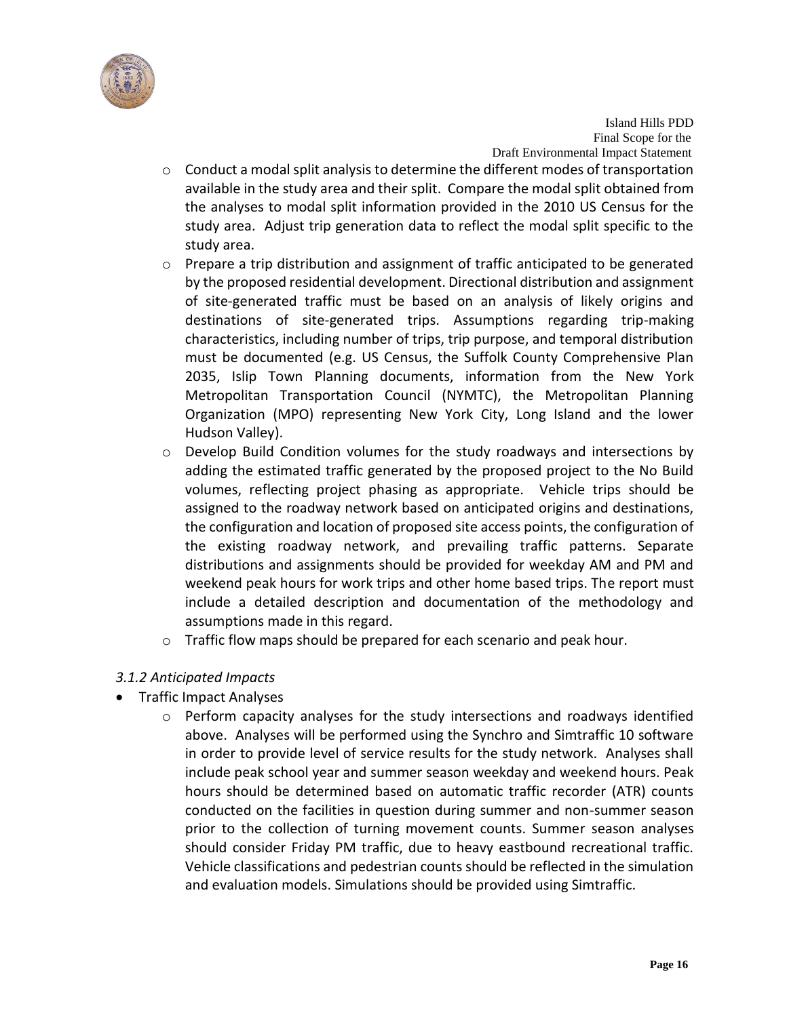

- o Conduct a modal split analysis to determine the different modes of transportation available in the study area and their split. Compare the modal split obtained from the analyses to modal split information provided in the 2010 US Census for the study area. Adjust trip generation data to reflect the modal split specific to the study area.
- $\circ$  Prepare a trip distribution and assignment of traffic anticipated to be generated by the proposed residential development. Directional distribution and assignment of site-generated traffic must be based on an analysis of likely origins and destinations of site-generated trips. Assumptions regarding trip-making characteristics, including number of trips, trip purpose, and temporal distribution must be documented (e.g. US Census, the Suffolk County Comprehensive Plan 2035, Islip Town Planning documents, information from the New York Metropolitan Transportation Council (NYMTC), the Metropolitan Planning Organization (MPO) representing New York City, Long Island and the lower Hudson Valley).
- o Develop Build Condition volumes for the study roadways and intersections by adding the estimated traffic generated by the proposed project to the No Build volumes, reflecting project phasing as appropriate. Vehicle trips should be assigned to the roadway network based on anticipated origins and destinations, the configuration and location of proposed site access points, the configuration of the existing roadway network, and prevailing traffic patterns. Separate distributions and assignments should be provided for weekday AM and PM and weekend peak hours for work trips and other home based trips. The report must include a detailed description and documentation of the methodology and assumptions made in this regard.
- o Traffic flow maps should be prepared for each scenario and peak hour.

# *3.1.2 Anticipated Impacts*

- Traffic Impact Analyses
	- $\circ$  Perform capacity analyses for the study intersections and roadways identified above. Analyses will be performed using the Synchro and Simtraffic 10 software in order to provide level of service results for the study network. Analyses shall include peak school year and summer season weekday and weekend hours. Peak hours should be determined based on automatic traffic recorder (ATR) counts conducted on the facilities in question during summer and non-summer season prior to the collection of turning movement counts. Summer season analyses should consider Friday PM traffic, due to heavy eastbound recreational traffic. Vehicle classifications and pedestrian counts should be reflected in the simulation and evaluation models. Simulations should be provided using Simtraffic.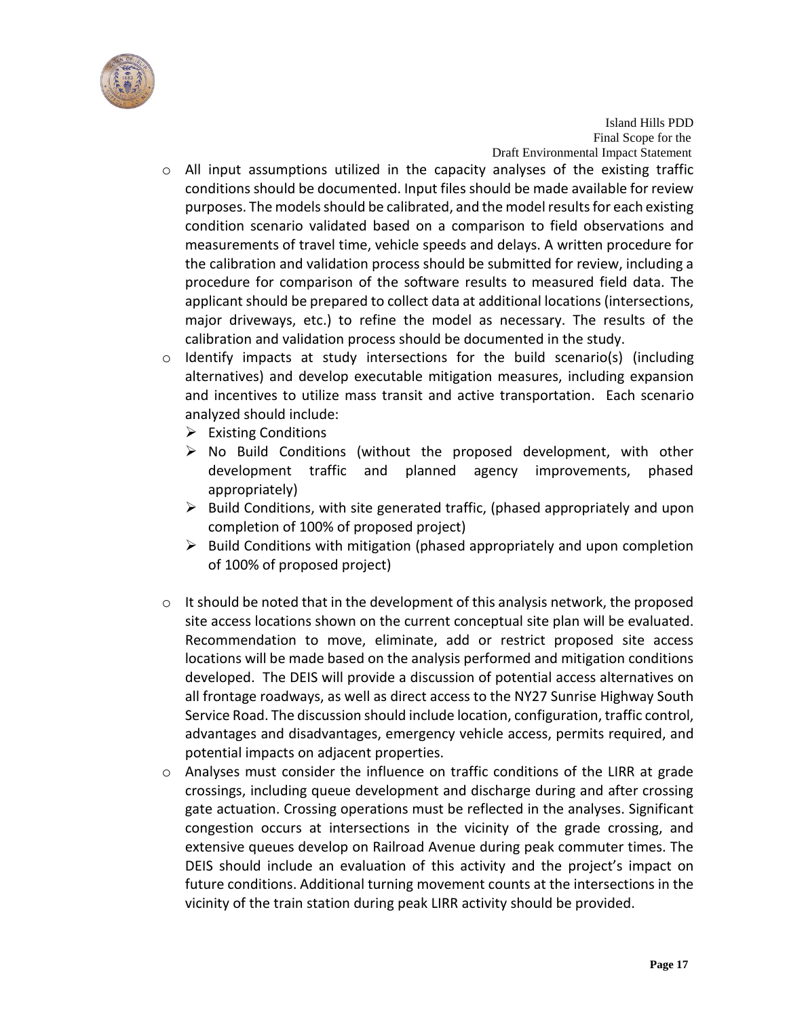

- o All input assumptions utilized in the capacity analyses of the existing traffic conditions should be documented. Input files should be made available for review purposes. The models should be calibrated, and the model results for each existing condition scenario validated based on a comparison to field observations and measurements of travel time, vehicle speeds and delays. A written procedure for the calibration and validation process should be submitted for review, including a procedure for comparison of the software results to measured field data. The applicant should be prepared to collect data at additional locations (intersections, major driveways, etc.) to refine the model as necessary. The results of the calibration and validation process should be documented in the study.
- $\circ$  Identify impacts at study intersections for the build scenario(s) (including alternatives) and develop executable mitigation measures, including expansion and incentives to utilize mass transit and active transportation. Each scenario analyzed should include:
	- $\triangleright$  Existing Conditions
	- $\triangleright$  No Build Conditions (without the proposed development, with other development traffic and planned agency improvements, phased appropriately)
	- $\triangleright$  Build Conditions, with site generated traffic, (phased appropriately and upon completion of 100% of proposed project)
	- $\triangleright$  Build Conditions with mitigation (phased appropriately and upon completion of 100% of proposed project)
- o It should be noted that in the development of this analysis network, the proposed site access locations shown on the current conceptual site plan will be evaluated. Recommendation to move, eliminate, add or restrict proposed site access locations will be made based on the analysis performed and mitigation conditions developed. The DEIS will provide a discussion of potential access alternatives on all frontage roadways, as well as direct access to the NY27 Sunrise Highway South Service Road. The discussion should include location, configuration, traffic control, advantages and disadvantages, emergency vehicle access, permits required, and potential impacts on adjacent properties.
- $\circ$  Analyses must consider the influence on traffic conditions of the LIRR at grade crossings, including queue development and discharge during and after crossing gate actuation. Crossing operations must be reflected in the analyses. Significant congestion occurs at intersections in the vicinity of the grade crossing, and extensive queues develop on Railroad Avenue during peak commuter times. The DEIS should include an evaluation of this activity and the project's impact on future conditions. Additional turning movement counts at the intersections in the vicinity of the train station during peak LIRR activity should be provided.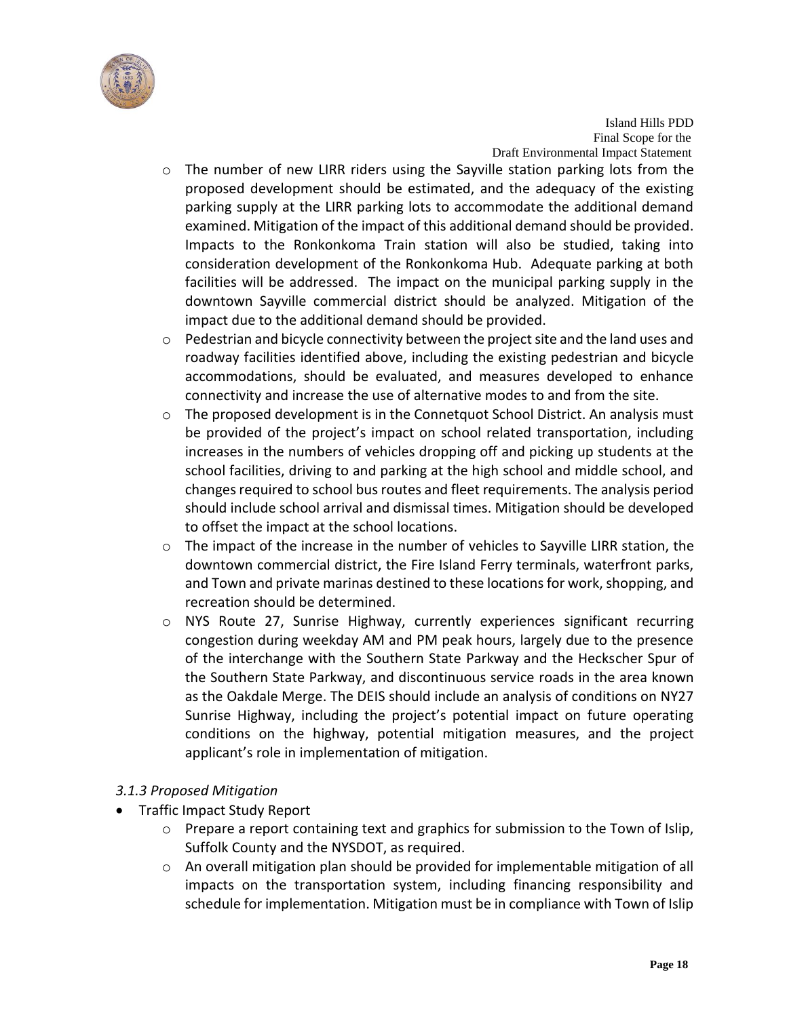

- o The number of new LIRR riders using the Sayville station parking lots from the proposed development should be estimated, and the adequacy of the existing parking supply at the LIRR parking lots to accommodate the additional demand examined. Mitigation of the impact of this additional demand should be provided. Impacts to the Ronkonkoma Train station will also be studied, taking into consideration development of the Ronkonkoma Hub. Adequate parking at both facilities will be addressed. The impact on the municipal parking supply in the downtown Sayville commercial district should be analyzed. Mitigation of the impact due to the additional demand should be provided.
- o Pedestrian and bicycle connectivity between the project site and the land uses and roadway facilities identified above, including the existing pedestrian and bicycle accommodations, should be evaluated, and measures developed to enhance connectivity and increase the use of alternative modes to and from the site.
- $\circ$  The proposed development is in the Connetquot School District. An analysis must be provided of the project's impact on school related transportation, including increases in the numbers of vehicles dropping off and picking up students at the school facilities, driving to and parking at the high school and middle school, and changes required to school bus routes and fleet requirements. The analysis period should include school arrival and dismissal times. Mitigation should be developed to offset the impact at the school locations.
- $\circ$  The impact of the increase in the number of vehicles to Sayville LIRR station, the downtown commercial district, the Fire Island Ferry terminals, waterfront parks, and Town and private marinas destined to these locations for work, shopping, and recreation should be determined.
- o NYS Route 27, Sunrise Highway, currently experiences significant recurring congestion during weekday AM and PM peak hours, largely due to the presence of the interchange with the Southern State Parkway and the Heckscher Spur of the Southern State Parkway, and discontinuous service roads in the area known as the Oakdale Merge. The DEIS should include an analysis of conditions on NY27 Sunrise Highway, including the project's potential impact on future operating conditions on the highway, potential mitigation measures, and the project applicant's role in implementation of mitigation.

# *3.1.3 Proposed Mitigation*

- Traffic Impact Study Report
	- o Prepare a report containing text and graphics for submission to the Town of Islip, Suffolk County and the NYSDOT, as required.
	- $\circ$  An overall mitigation plan should be provided for implementable mitigation of all impacts on the transportation system, including financing responsibility and schedule for implementation. Mitigation must be in compliance with Town of Islip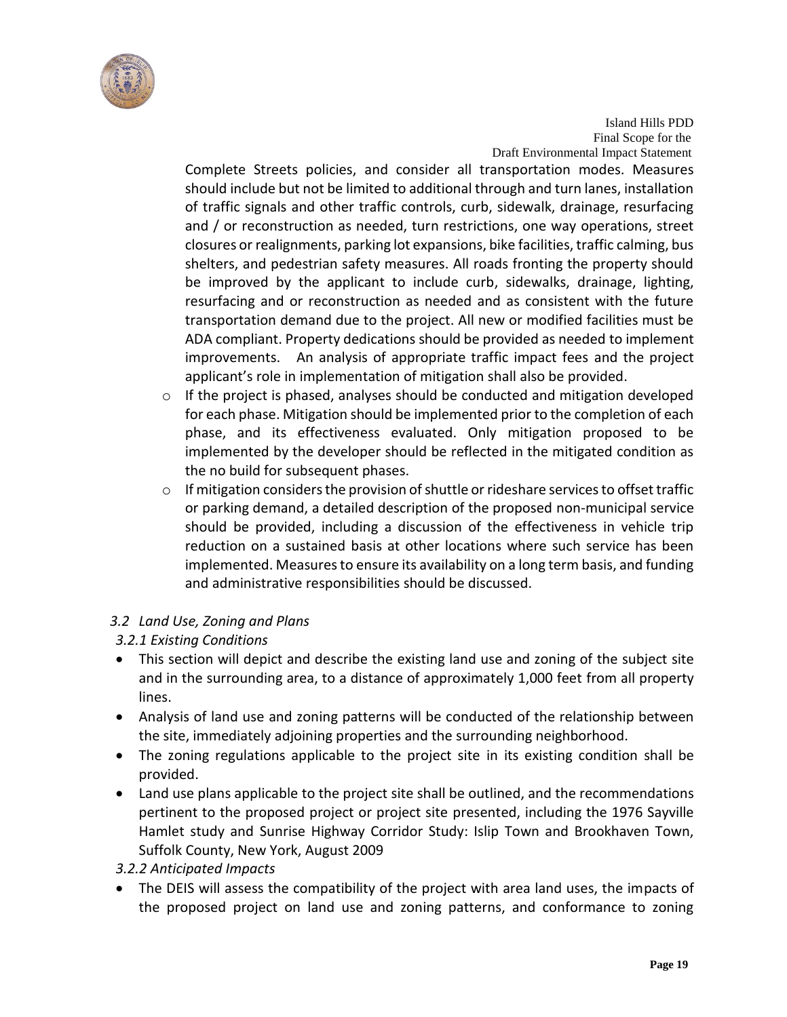

Complete Streets policies, and consider all transportation modes. Measures should include but not be limited to additional through and turn lanes, installation of traffic signals and other traffic controls, curb, sidewalk, drainage, resurfacing and / or reconstruction as needed, turn restrictions, one way operations, street closures or realignments, parking lot expansions, bike facilities, traffic calming, bus shelters, and pedestrian safety measures. All roads fronting the property should be improved by the applicant to include curb, sidewalks, drainage, lighting, resurfacing and or reconstruction as needed and as consistent with the future transportation demand due to the project. All new or modified facilities must be ADA compliant. Property dedications should be provided as needed to implement improvements. An analysis of appropriate traffic impact fees and the project applicant's role in implementation of mitigation shall also be provided.

- o If the project is phased, analyses should be conducted and mitigation developed for each phase. Mitigation should be implemented prior to the completion of each phase, and its effectiveness evaluated. Only mitigation proposed to be implemented by the developer should be reflected in the mitigated condition as the no build for subsequent phases.
- o If mitigation considers the provision of shuttle or rideshare services to offset traffic or parking demand, a detailed description of the proposed non-municipal service should be provided, including a discussion of the effectiveness in vehicle trip reduction on a sustained basis at other locations where such service has been implemented. Measures to ensure its availability on a long term basis, and funding and administrative responsibilities should be discussed.

# *3.2 Land Use, Zoning and Plans*

# *3.2.1 Existing Conditions*

- This section will depict and describe the existing land use and zoning of the subject site and in the surrounding area, to a distance of approximately 1,000 feet from all property lines.
- Analysis of land use and zoning patterns will be conducted of the relationship between the site, immediately adjoining properties and the surrounding neighborhood.
- The zoning regulations applicable to the project site in its existing condition shall be provided.
- Land use plans applicable to the project site shall be outlined, and the recommendations pertinent to the proposed project or project site presented, including the 1976 Sayville Hamlet study and [Sunrise Highway Corridor Study: Islip Town and Brookhaven Town,](http://www.suffolkcountyny.gov/Portals/0/planning/Publications/sunrisehwycorr81209.pdf)  [Suffolk County, New York,](http://www.suffolkcountyny.gov/Portals/0/planning/Publications/sunrisehwycorr81209.pdf) August 2009

#### *3.2.2 Anticipated Impacts*

 The DEIS will assess the compatibility of the project with area land uses, the impacts of the proposed project on land use and zoning patterns, and conformance to zoning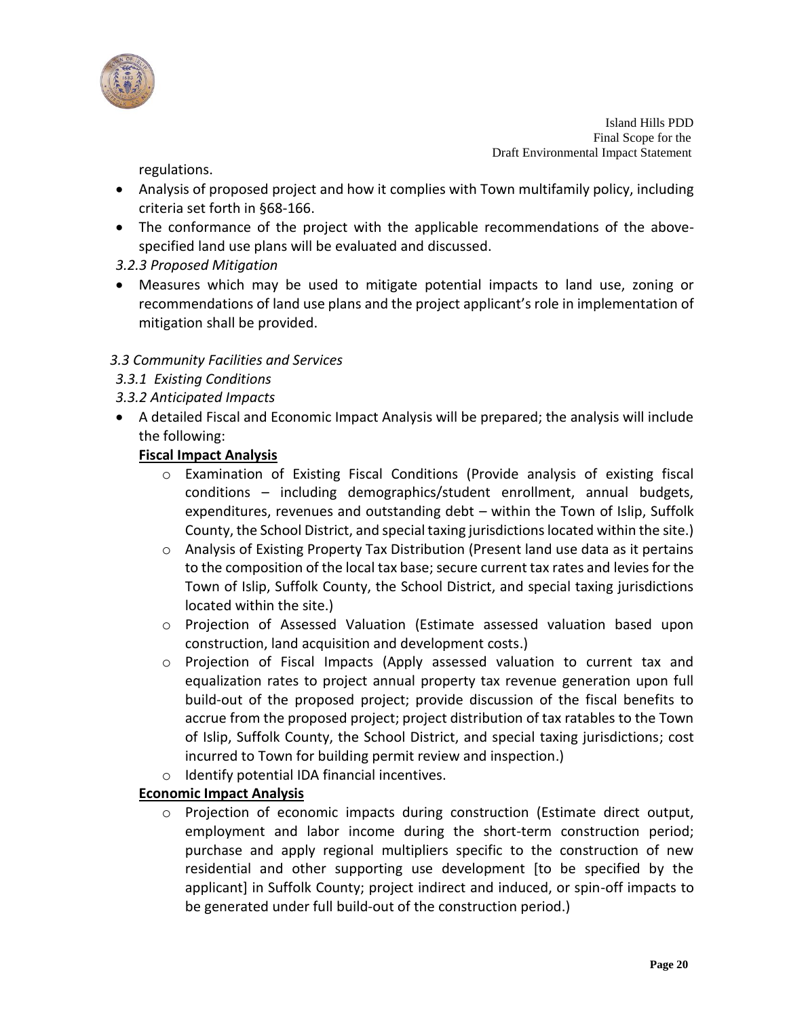

regulations.

- Analysis of proposed project and how it complies with Town multifamily policy, including criteria set forth in §68-166.
- The conformance of the project with the applicable recommendations of the abovespecified land use plans will be evaluated and discussed.
- *3.2.3 Proposed Mitigation*
- Measures which may be used to mitigate potential impacts to land use, zoning or recommendations of land use plans and the project applicant's role in implementation of mitigation shall be provided.

# *3.3 Community Facilities and Services*

- *3.3.1 Existing Conditions*
- *3.3.2 Anticipated Impacts*
- A detailed Fiscal and Economic Impact Analysis will be prepared; the analysis will include the following:

# **Fiscal Impact Analysis**

- o Examination of Existing Fiscal Conditions (Provide analysis of existing fiscal conditions – including demographics/student enrollment, annual budgets, expenditures, revenues and outstanding debt – within the Town of Islip, Suffolk County, the School District, and special taxing jurisdictions located within the site.)
- $\circ$  Analysis of Existing Property Tax Distribution (Present land use data as it pertains to the composition of the local tax base; secure current tax rates and levies for the Town of Islip, Suffolk County, the School District, and special taxing jurisdictions located within the site.)
- o Projection of Assessed Valuation (Estimate assessed valuation based upon construction, land acquisition and development costs.)
- o Projection of Fiscal Impacts (Apply assessed valuation to current tax and equalization rates to project annual property tax revenue generation upon full build-out of the proposed project; provide discussion of the fiscal benefits to accrue from the proposed project; project distribution of tax ratables to the Town of Islip, Suffolk County, the School District, and special taxing jurisdictions; cost incurred to Town for building permit review and inspection.)
- o Identify potential IDA financial incentives.

# **Economic Impact Analysis**

 $\circ$  Projection of economic impacts during construction (Estimate direct output, employment and labor income during the short-term construction period; purchase and apply regional multipliers specific to the construction of new residential and other supporting use development [to be specified by the applicant] in Suffolk County; project indirect and induced, or spin-off impacts to be generated under full build-out of the construction period.)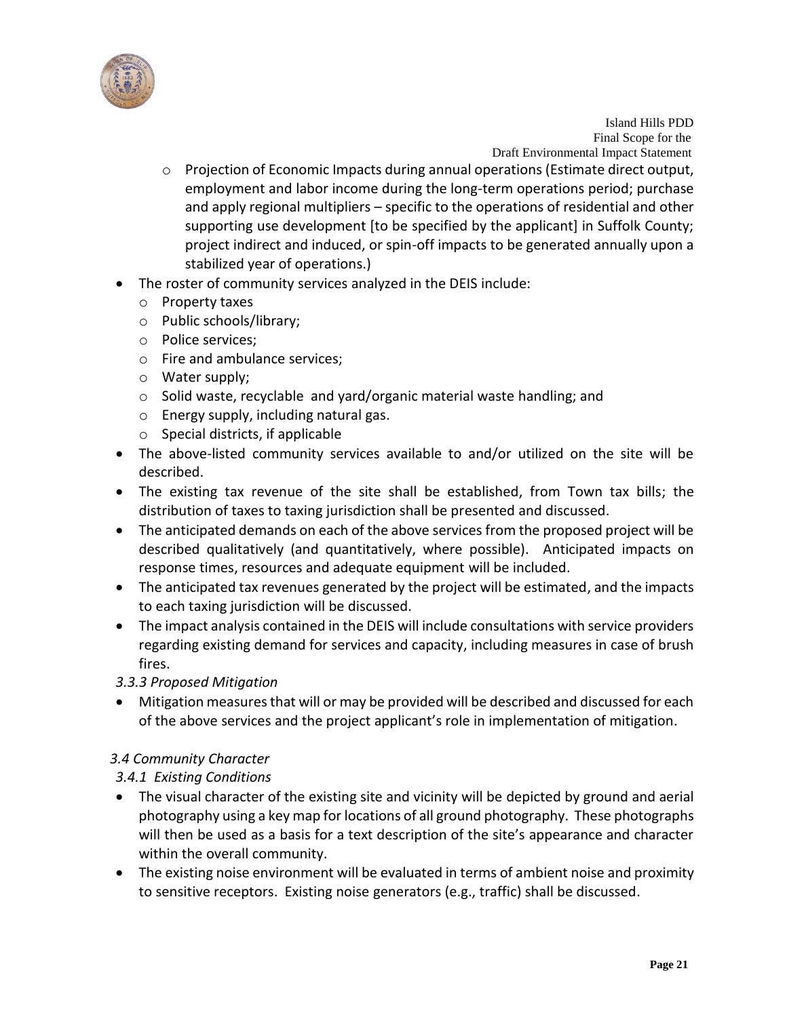

- o Projection of Economic Impacts during annual operations (Estimate direct output, employment and labor income during the long-term operations period; purchase and apply regional multipliers – specific to the operations of residential and other supporting use development [to be specified by the applicant] in Suffolk County; project indirect and induced, or spin-off impacts to be generated annually upon a stabilized year of operations.)
- The roster of community services analyzed in the DEIS include:
	- o Property taxes
	- o Public schools/library;
	- o Police services;
	- o Fire and ambulance services;
	- o Water supply;
	- o Solid waste, recyclable and yard/organic material waste handling; and
	- o Energy supply, including natural gas.
	- $\circ$  Special districts, if applicable
- The above-listed community services available to and/or utilized on the site will be described.
- The existing tax revenue of the site shall be established, from Town tax bills; the distribution of taxes to taxing jurisdiction shall be presented and discussed.
- The anticipated demands on each of the above services from the proposed project will be described qualitatively (and quantitatively, where possible). Anticipated impacts on response times, resources and adequate equipment will be included.
- The anticipated tax revenues generated by the project will be estimated, and the impacts to each taxing jurisdiction will be discussed.
- The impact analysis contained in the DEIS will include consultations with service providers regarding existing demand for services and capacity, including measures in case of brush fires.
- *3.3.3 Proposed Mitigation*
- Mitigation measures that will or may be provided will be described and discussed for each of the above services and the project applicant's role in implementation of mitigation.

# *3.4 Community Character*

# *3.4.1 Existing Conditions*

- The visual character of the existing site and vicinity will be depicted by ground and aerial photography using a key map for locations of all ground photography. These photographs will then be used as a basis for a text description of the site's appearance and character within the overall community.
- The existing noise environment will be evaluated in terms of ambient noise and proximity to sensitive receptors. Existing noise generators (e.g., traffic) shall be discussed.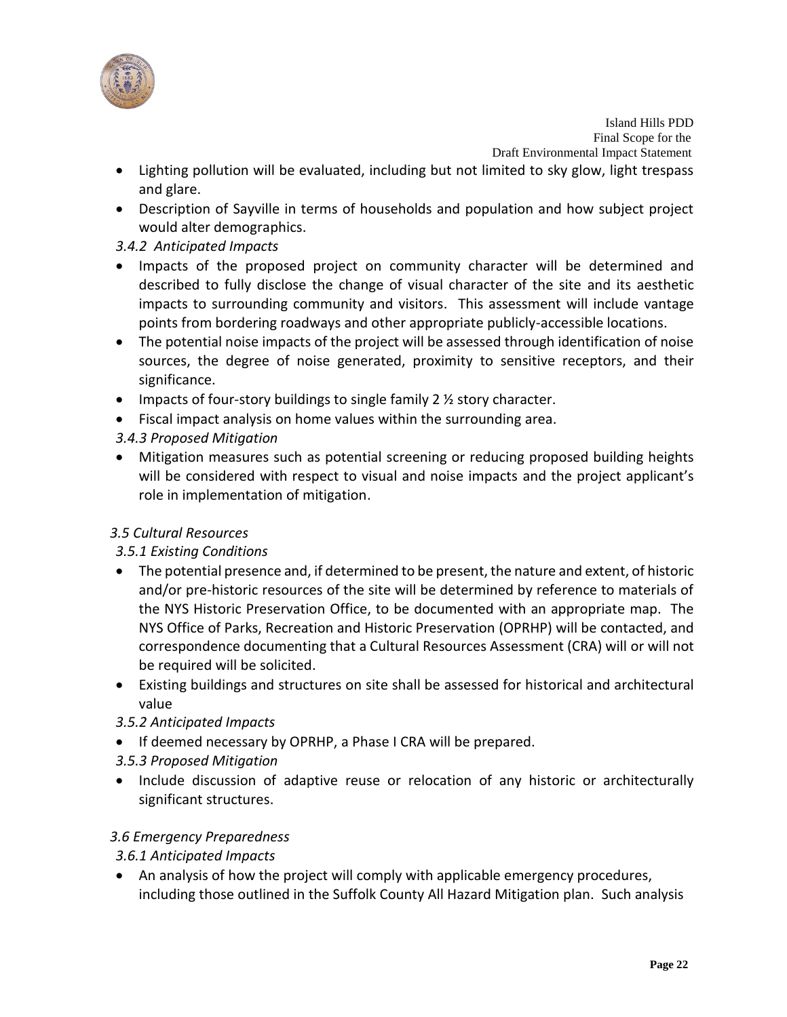

- Lighting pollution will be evaluated, including but not limited to sky glow, light trespass and glare.
- Description of Sayville in terms of households and population and how subject project would alter demographics.

# *3.4.2 Anticipated Impacts*

- Impacts of the proposed project on community character will be determined and described to fully disclose the change of visual character of the site and its aesthetic impacts to surrounding community and visitors. This assessment will include vantage points from bordering roadways and other appropriate publicly-accessible locations.
- The potential noise impacts of the project will be assessed through identification of noise sources, the degree of noise generated, proximity to sensitive receptors, and their significance.
- $\bullet$  Impacts of four-story buildings to single family 2  $\frac{1}{2}$  story character.
- Fiscal impact analysis on home values within the surrounding area.

# *3.4.3 Proposed Mitigation*

 Mitigation measures such as potential screening or reducing proposed building heights will be considered with respect to visual and noise impacts and the project applicant's role in implementation of mitigation.

# *3.5 Cultural Resources*

# *3.5.1 Existing Conditions*

- The potential presence and, if determined to be present, the nature and extent, of historic and/or pre-historic resources of the site will be determined by reference to materials of the NYS Historic Preservation Office, to be documented with an appropriate map. The NYS Office of Parks, Recreation and Historic Preservation (OPRHP) will be contacted, and correspondence documenting that a Cultural Resources Assessment (CRA) will or will not be required will be solicited.
- Existing buildings and structures on site shall be assessed for historical and architectural value
- *3.5.2 Anticipated Impacts*
- If deemed necessary by OPRHP, a Phase I CRA will be prepared.
- *3.5.3 Proposed Mitigation*
- Include discussion of adaptive reuse or relocation of any historic or architecturally significant structures.

# *3.6 Emergency Preparedness*

# *3.6.1 Anticipated Impacts*

 An analysis of how the project will comply with applicable emergency procedures, including those outlined in the Suffolk County All Hazard Mitigation plan. Such analysis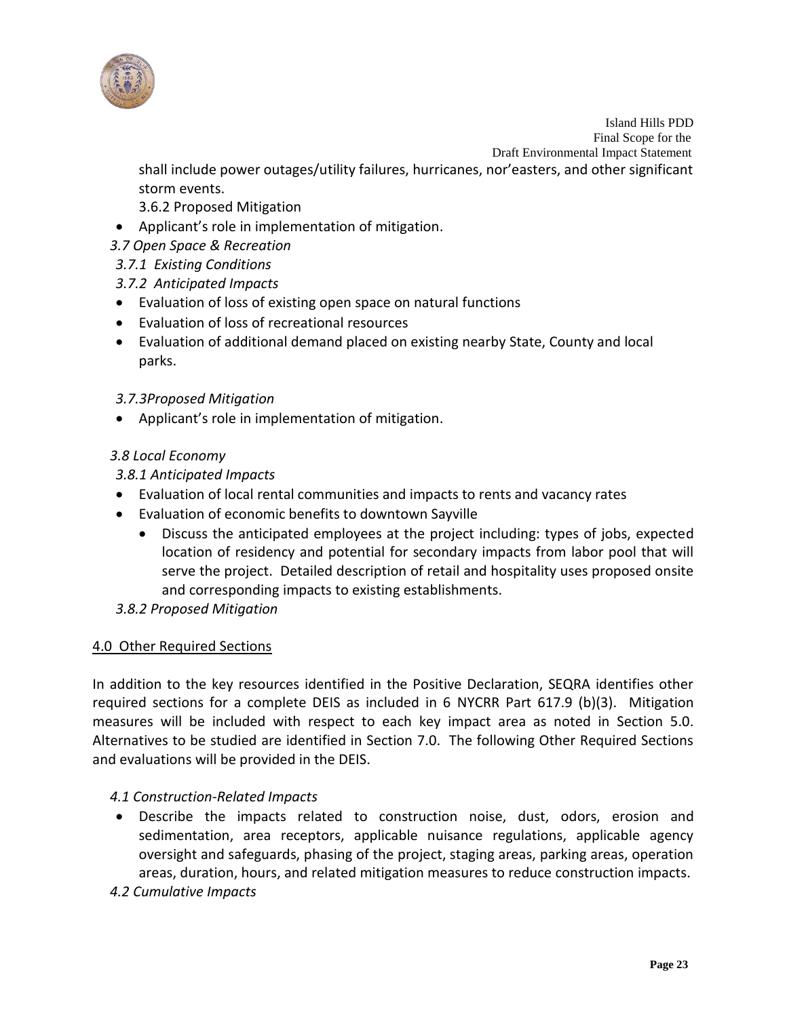

shall include power outages/utility failures, hurricanes, nor'easters, and other significant storm events.

3.6.2 Proposed Mitigation

- Applicant's role in implementation of mitigation.
- *3.7 Open Space & Recreation*
- *3.7.1 Existing Conditions*

# *3.7.2 Anticipated Impacts*

- Evaluation of loss of existing open space on natural functions
- Evaluation of loss of recreational resources
- Evaluation of additional demand placed on existing nearby State, County and local parks.

#### *3.7.3Proposed Mitigation*

Applicant's role in implementation of mitigation.

#### *3.8 Local Economy*

#### *3.8.1 Anticipated Impacts*

- Evaluation of local rental communities and impacts to rents and vacancy rates
- Evaluation of economic benefits to downtown Sayville
	- Discuss the anticipated employees at the project including: types of jobs, expected location of residency and potential for secondary impacts from labor pool that will serve the project. Detailed description of retail and hospitality uses proposed onsite and corresponding impacts to existing establishments.
- *3.8.2 Proposed Mitigation*

# 4.0 Other Required Sections

In addition to the key resources identified in the Positive Declaration, SEQRA identifies other required sections for a complete DEIS as included in 6 NYCRR Part 617.9 (b)(3). Mitigation measures will be included with respect to each key impact area as noted in Section 5.0. Alternatives to be studied are identified in Section 7.0. The following Other Required Sections and evaluations will be provided in the DEIS.

#### *4.1 Construction-Related Impacts*

 Describe the impacts related to construction noise, dust, odors, erosion and sedimentation, area receptors, applicable nuisance regulations, applicable agency oversight and safeguards, phasing of the project, staging areas, parking areas, operation areas, duration, hours, and related mitigation measures to reduce construction impacts.

# *4.2 Cumulative Impacts*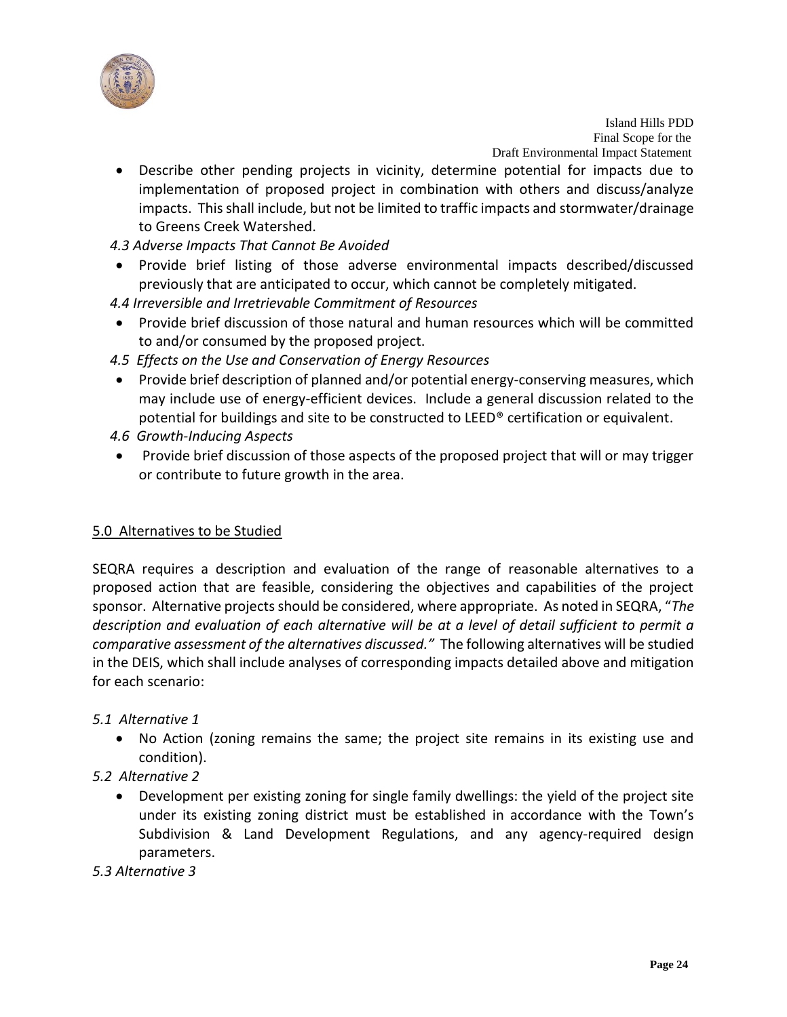

- Describe other pending projects in vicinity, determine potential for impacts due to implementation of proposed project in combination with others and discuss/analyze impacts. This shall include, but not be limited to traffic impacts and stormwater/drainage to Greens Creek Watershed.
- *4.3 Adverse Impacts That Cannot Be Avoided*
- Provide brief listing of those adverse environmental impacts described/discussed previously that are anticipated to occur, which cannot be completely mitigated.
- *4.4 Irreversible and Irretrievable Commitment of Resources*
- Provide brief discussion of those natural and human resources which will be committed to and/or consumed by the proposed project.
- *4.5 Effects on the Use and Conservation of Energy Resources*
- Provide brief description of planned and/or potential energy-conserving measures, which may include use of energy-efficient devices. Include a general discussion related to the potential for buildings and site to be constructed to LEED® certification or equivalent.
- *4.6 Growth-Inducing Aspects*
- Provide brief discussion of those aspects of the proposed project that will or may trigger or contribute to future growth in the area.

#### 5.0 Alternatives to be Studied

SEQRA requires a description and evaluation of the range of reasonable alternatives to a proposed action that are feasible, considering the objectives and capabilities of the project sponsor. Alternative projects should be considered, where appropriate. As noted in SEQRA, "*The description and evaluation of each alternative will be at a level of detail sufficient to permit a comparative assessment of the alternatives discussed."* The following alternatives will be studied in the DEIS, which shall include analyses of corresponding impacts detailed above and mitigation for each scenario:

#### *5.1 Alternative 1*

- No Action (zoning remains the same; the project site remains in its existing use and condition).
- *5.2 Alternative 2*
	- Development per existing zoning for single family dwellings: the yield of the project site under its existing zoning district must be established in accordance with the Town's Subdivision & Land Development Regulations, and any agency-required design parameters.
- *5.3 Alternative 3*